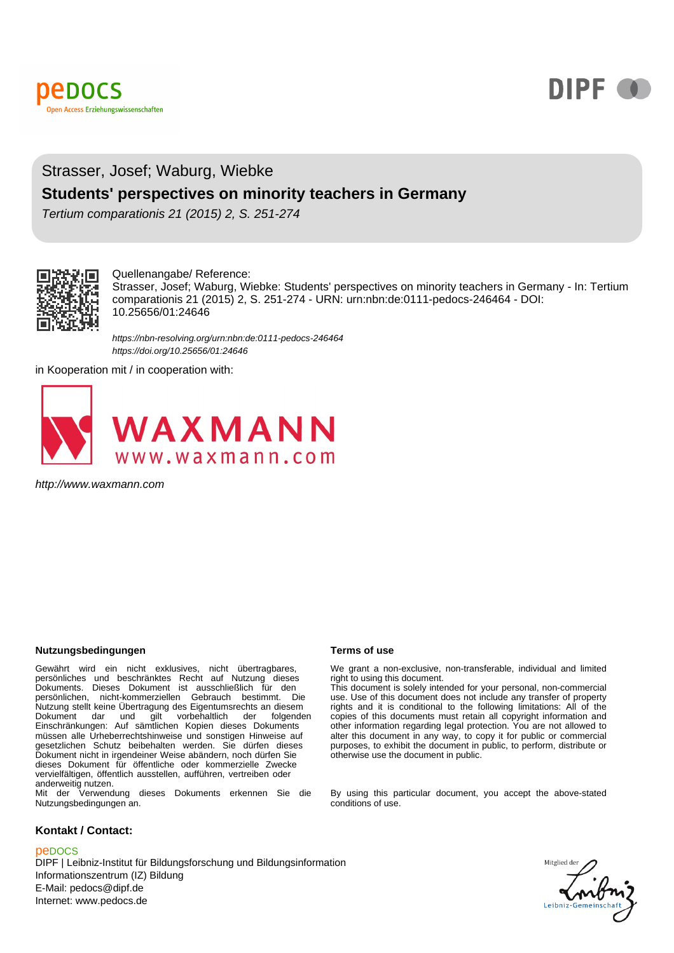

# **DIPF O**

## Strasser, Josef; Waburg, Wiebke

#### **Students' perspectives on minority teachers in Germany**

Tertium comparationis 21 (2015) 2, S. 251-274



#### Quellenangabe/ Reference:

Strasser, Josef; Waburg, Wiebke: Students' perspectives on minority teachers in Germany - In: Tertium comparationis 21 (2015) 2, S. 251-274 - URN: urn:nbn:de:0111-pedocs-246464 - DOI: 10.25656/01:24646

https://nbn-resolving.org/urn:nbn:de:0111-pedocs-246464 https://doi.org/10.25656/01:24646

in Kooperation mit / in cooperation with:



http://www.waxmann.com

#### **Nutzungsbedingungen Terms of use**

Gewährt wird ein nicht exklusives, nicht übertragbares,<br>persönliches und beschränktes Recht auf Nutzung dieses<br>Dokuments. Dieses Dokument ist ausschließlich für den<br>persönlichen, nicht-kommerziellen Gebrauch bestimmt. Die Nutzung stellt keine Übertragung des Eigentumsrechts an diesem Dokument dar und gilt vorbehaltlich der folgenden Einschränkungen: Auf sämtlichen Kopien dieses Dokuments müssen alle Urheberrechtshinweise und sonstigen Hinweise auf gesetzlichen Schutz beibehalten werden. Sie dürfen dieses Dokument nicht in irgendeiner Weise abändern, noch dürfen Sie dieses Dokument für öffentliche oder kommerzielle Zwecke vervielfältigen, öffentlich ausstellen, aufführen, vertreiben oder anderweitig nutzen. Mit der Verwendung dieses Dokuments erkennen Sie die

Nutzungsbedingungen an.

#### **Kontakt / Contact:**

#### peDOCS

DIPF | Leibniz-Institut für Bildungsforschung und Bildungsinformation Informationszentrum (IZ) Bildung E-Mail: pedocs@dipf.de Internet: www.pedocs.de

We grant a non-exclusive, non-transferable, individual and limited right to using this document.

This document is solely intended for your personal, non-commercial use. Use of this document does not include any transfer of property rights and it is conditional to the following limitations: All of the copies of this documents must retain all copyright information and other information regarding legal protection. You are not allowed to alter this document in any way, to copy it for public or commercial purposes, to exhibit the document in public, to perform, distribute or otherwise use the document in public.

By using this particular document, you accept the above-stated conditions of use.

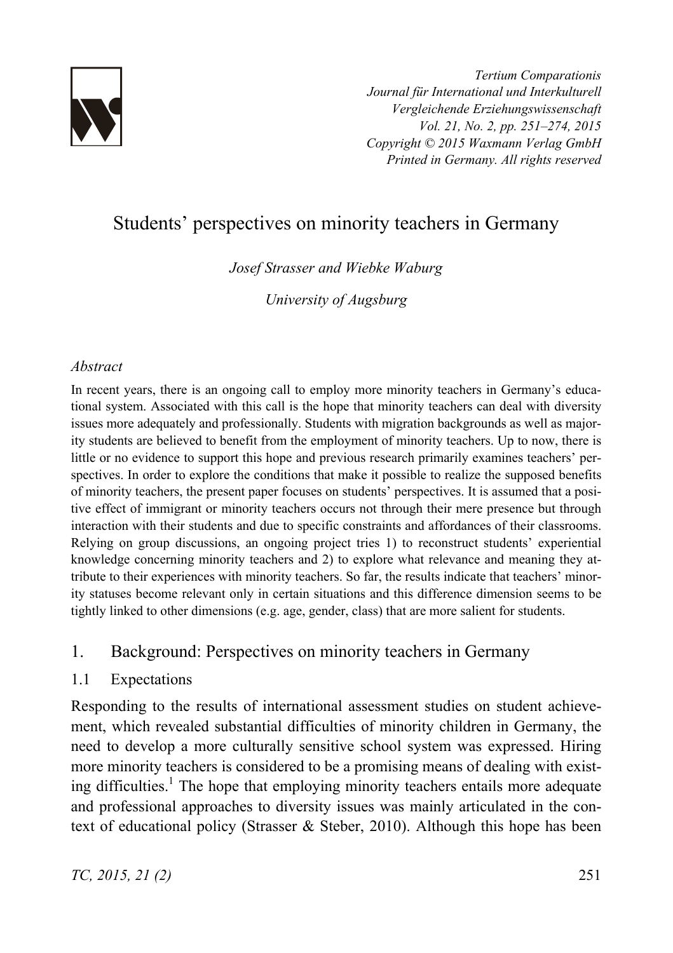

*Tertium Comparationis Journal für International und Interkulturell Vergleichende Erziehungswissenschaft Vol. 21, No. 2, pp. 251–274, 2015 Copyright © 2015 Waxmann Verlag GmbH Printed in Germany. All rights reserved*

# Students' perspectives on minority teachers in Germany

*Josef Strasser and Wiebke Waburg* 

*University of Augsburg* 

#### *Abstract*

In recent years, there is an ongoing call to employ more minority teachers in Germany's educational system. Associated with this call is the hope that minority teachers can deal with diversity issues more adequately and professionally. Students with migration backgrounds as well as majority students are believed to benefit from the employment of minority teachers. Up to now, there is little or no evidence to support this hope and previous research primarily examines teachers' perspectives. In order to explore the conditions that make it possible to realize the supposed benefits of minority teachers, the present paper focuses on students' perspectives. It is assumed that a positive effect of immigrant or minority teachers occurs not through their mere presence but through interaction with their students and due to specific constraints and affordances of their classrooms. Relying on group discussions, an ongoing project tries 1) to reconstruct students' experiential knowledge concerning minority teachers and 2) to explore what relevance and meaning they attribute to their experiences with minority teachers. So far, the results indicate that teachers' minority statuses become relevant only in certain situations and this difference dimension seems to be tightly linked to other dimensions (e.g. age, gender, class) that are more salient for students.

# 1. Background: Perspectives on minority teachers in Germany

#### 1.1 Expectations

Responding to the results of international assessment studies on student achievement, which revealed substantial difficulties of minority children in Germany, the need to develop a more culturally sensitive school system was expressed. Hiring more minority teachers is considered to be a promising means of dealing with existing difficulties.<sup>1</sup> The hope that employing minority teachers entails more adequate and professional approaches to diversity issues was mainly articulated in the context of educational policy (Strasser & Steber, 2010). Although this hope has been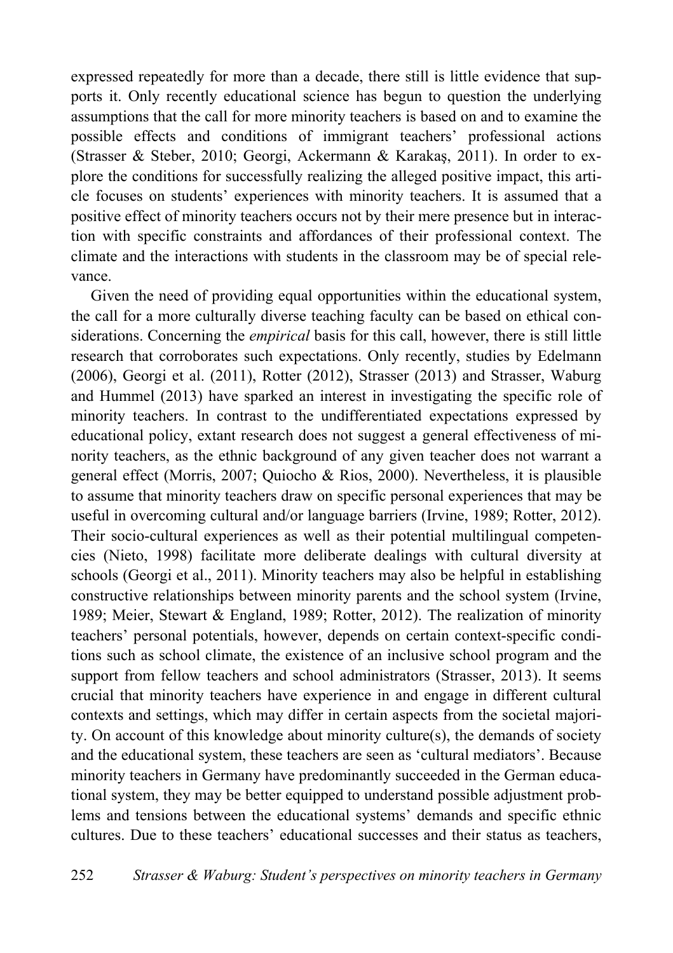expressed repeatedly for more than a decade, there still is little evidence that supports it. Only recently educational science has begun to question the underlying assumptions that the call for more minority teachers is based on and to examine the possible effects and conditions of immigrant teachers' professional actions (Strasser & Steber, 2010; Georgi, Ackermann & Karakas, 2011). In order to explore the conditions for successfully realizing the alleged positive impact, this article focuses on students' experiences with minority teachers. It is assumed that a positive effect of minority teachers occurs not by their mere presence but in interaction with specific constraints and affordances of their professional context. The climate and the interactions with students in the classroom may be of special relevance.

Given the need of providing equal opportunities within the educational system, the call for a more culturally diverse teaching faculty can be based on ethical considerations. Concerning the *empirical* basis for this call, however, there is still little research that corroborates such expectations. Only recently, studies by Edelmann (2006), Georgi et al. (2011), Rotter (2012), Strasser (2013) and Strasser, Waburg and Hummel (2013) have sparked an interest in investigating the specific role of minority teachers. In contrast to the undifferentiated expectations expressed by educational policy, extant research does not suggest a general effectiveness of minority teachers, as the ethnic background of any given teacher does not warrant a general effect (Morris, 2007; Quiocho & Rios, 2000). Nevertheless, it is plausible to assume that minority teachers draw on specific personal experiences that may be useful in overcoming cultural and/or language barriers (Irvine, 1989; Rotter, 2012). Their socio-cultural experiences as well as their potential multilingual competencies (Nieto, 1998) facilitate more deliberate dealings with cultural diversity at schools (Georgi et al., 2011). Minority teachers may also be helpful in establishing constructive relationships between minority parents and the school system (Irvine, 1989; Meier, Stewart & England, 1989; Rotter, 2012). The realization of minority teachers' personal potentials, however, depends on certain context-specific conditions such as school climate, the existence of an inclusive school program and the support from fellow teachers and school administrators (Strasser, 2013). It seems crucial that minority teachers have experience in and engage in different cultural contexts and settings, which may differ in certain aspects from the societal majority. On account of this knowledge about minority culture(s), the demands of society and the educational system, these teachers are seen as 'cultural mediators'. Because minority teachers in Germany have predominantly succeeded in the German educational system, they may be better equipped to understand possible adjustment problems and tensions between the educational systems' demands and specific ethnic cultures. Due to these teachers' educational successes and their status as teachers,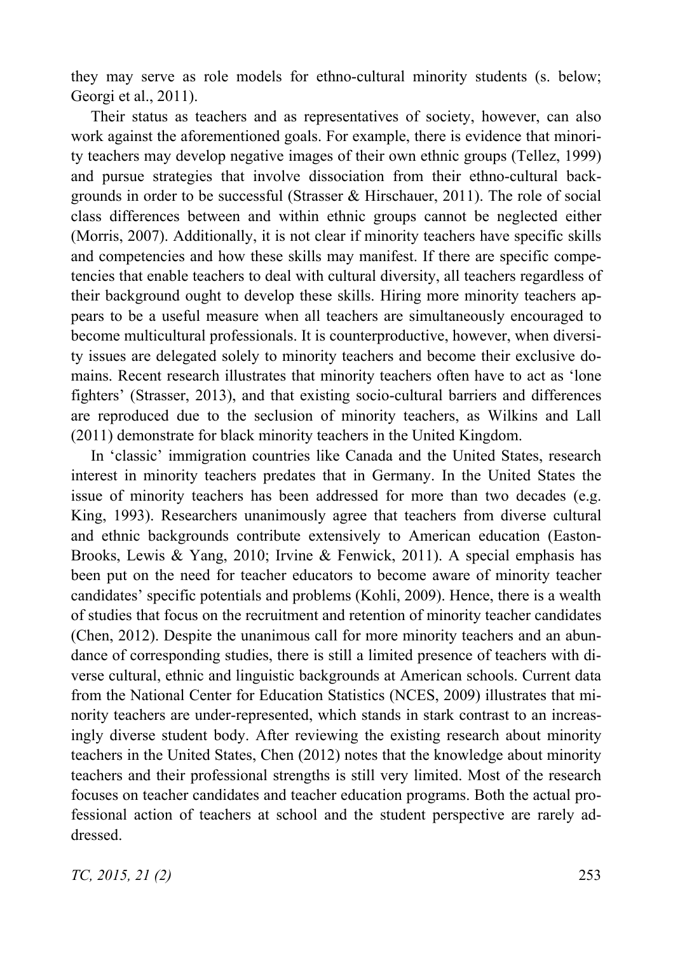they may serve as role models for ethno-cultural minority students (s. below; Georgi et al., 2011).

Their status as teachers and as representatives of society, however, can also work against the aforementioned goals. For example, there is evidence that minority teachers may develop negative images of their own ethnic groups (Tellez, 1999) and pursue strategies that involve dissociation from their ethno-cultural backgrounds in order to be successful (Strasser  $\&$  Hirschauer, 2011). The role of social class differences between and within ethnic groups cannot be neglected either (Morris, 2007). Additionally, it is not clear if minority teachers have specific skills and competencies and how these skills may manifest. If there are specific competencies that enable teachers to deal with cultural diversity, all teachers regardless of their background ought to develop these skills. Hiring more minority teachers appears to be a useful measure when all teachers are simultaneously encouraged to become multicultural professionals. It is counterproductive, however, when diversity issues are delegated solely to minority teachers and become their exclusive domains. Recent research illustrates that minority teachers often have to act as 'lone fighters' (Strasser, 2013), and that existing socio-cultural barriers and differences are reproduced due to the seclusion of minority teachers, as Wilkins and Lall (2011) demonstrate for black minority teachers in the United Kingdom.

In 'classic' immigration countries like Canada and the United States, research interest in minority teachers predates that in Germany. In the United States the issue of minority teachers has been addressed for more than two decades (e.g. King, 1993). Researchers unanimously agree that teachers from diverse cultural and ethnic backgrounds contribute extensively to American education (Easton-Brooks, Lewis & Yang, 2010; Irvine & Fenwick, 2011). A special emphasis has been put on the need for teacher educators to become aware of minority teacher candidates' specific potentials and problems (Kohli, 2009). Hence, there is a wealth of studies that focus on the recruitment and retention of minority teacher candidates (Chen, 2012). Despite the unanimous call for more minority teachers and an abundance of corresponding studies, there is still a limited presence of teachers with diverse cultural, ethnic and linguistic backgrounds at American schools. Current data from the National Center for Education Statistics (NCES, 2009) illustrates that minority teachers are under-represented, which stands in stark contrast to an increasingly diverse student body. After reviewing the existing research about minority teachers in the United States, Chen (2012) notes that the knowledge about minority teachers and their professional strengths is still very limited. Most of the research focuses on teacher candidates and teacher education programs. Both the actual professional action of teachers at school and the student perspective are rarely addressed.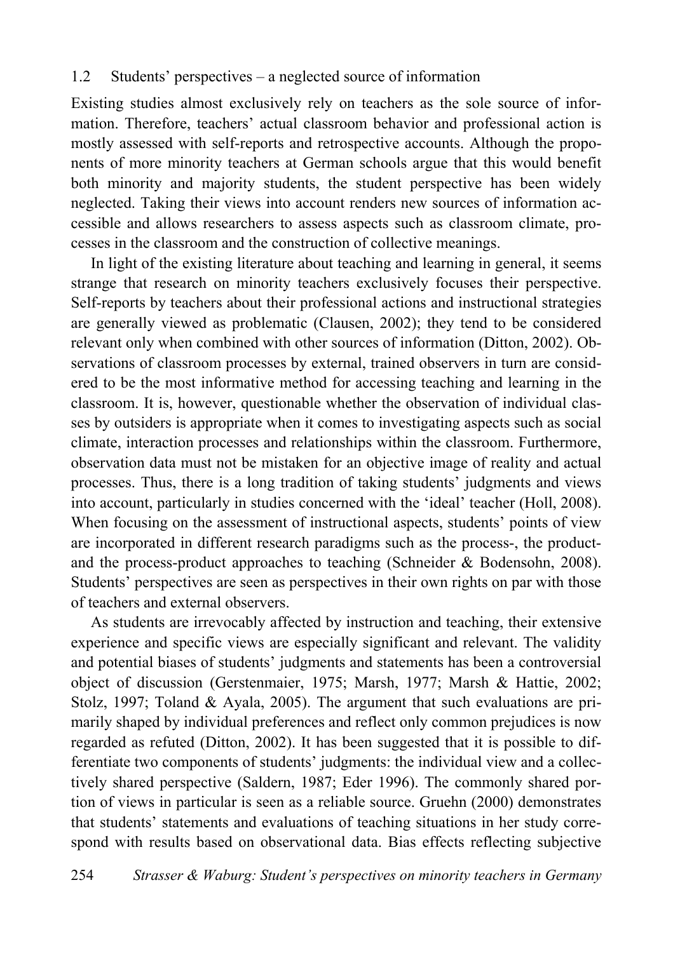#### 1.2 Students' perspectives – a neglected source of information

Existing studies almost exclusively rely on teachers as the sole source of information. Therefore, teachers' actual classroom behavior and professional action is mostly assessed with self-reports and retrospective accounts. Although the proponents of more minority teachers at German schools argue that this would benefit both minority and majority students, the student perspective has been widely neglected. Taking their views into account renders new sources of information accessible and allows researchers to assess aspects such as classroom climate, processes in the classroom and the construction of collective meanings.

In light of the existing literature about teaching and learning in general, it seems strange that research on minority teachers exclusively focuses their perspective. Self-reports by teachers about their professional actions and instructional strategies are generally viewed as problematic (Clausen, 2002); they tend to be considered relevant only when combined with other sources of information (Ditton, 2002). Observations of classroom processes by external, trained observers in turn are considered to be the most informative method for accessing teaching and learning in the classroom. It is, however, questionable whether the observation of individual classes by outsiders is appropriate when it comes to investigating aspects such as social climate, interaction processes and relationships within the classroom. Furthermore, observation data must not be mistaken for an objective image of reality and actual processes. Thus, there is a long tradition of taking students' judgments and views into account, particularly in studies concerned with the 'ideal' teacher (Holl, 2008). When focusing on the assessment of instructional aspects, students' points of view are incorporated in different research paradigms such as the process-, the productand the process-product approaches to teaching (Schneider & Bodensohn, 2008). Students' perspectives are seen as perspectives in their own rights on par with those of teachers and external observers.

As students are irrevocably affected by instruction and teaching, their extensive experience and specific views are especially significant and relevant. The validity and potential biases of students' judgments and statements has been a controversial object of discussion (Gerstenmaier, 1975; Marsh, 1977; Marsh & Hattie, 2002; Stolz, 1997; Toland & Ayala, 2005). The argument that such evaluations are primarily shaped by individual preferences and reflect only common prejudices is now regarded as refuted (Ditton, 2002). It has been suggested that it is possible to differentiate two components of students' judgments: the individual view and a collectively shared perspective (Saldern, 1987; Eder 1996). The commonly shared portion of views in particular is seen as a reliable source. Gruehn (2000) demonstrates that students' statements and evaluations of teaching situations in her study correspond with results based on observational data. Bias effects reflecting subjective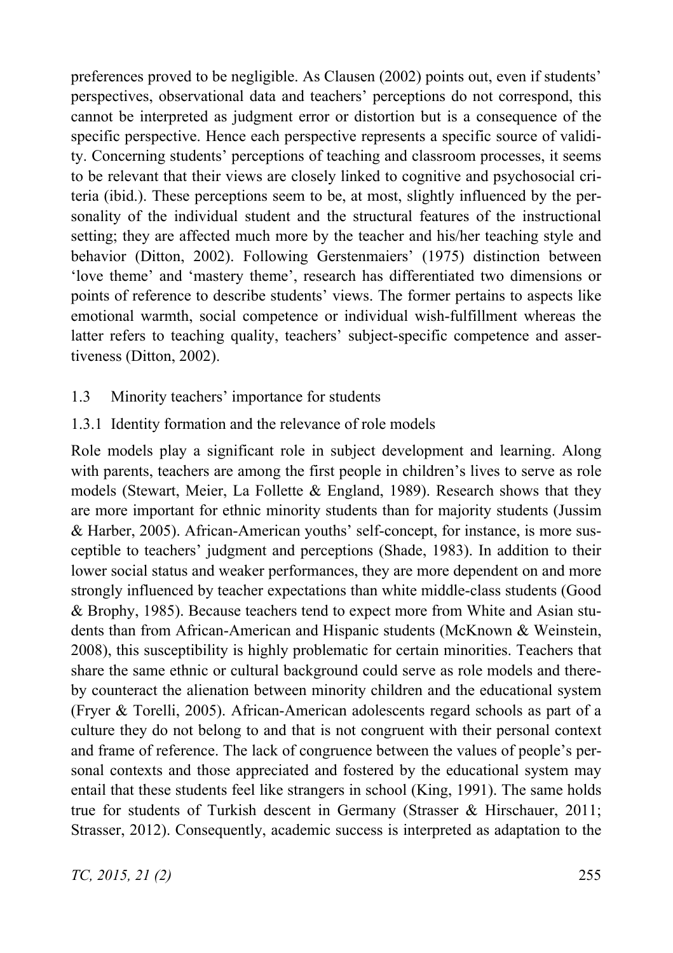preferences proved to be negligible. As Clausen (2002) points out, even if students' perspectives, observational data and teachers' perceptions do not correspond, this cannot be interpreted as judgment error or distortion but is a consequence of the specific perspective. Hence each perspective represents a specific source of validity. Concerning students' perceptions of teaching and classroom processes, it seems to be relevant that their views are closely linked to cognitive and psychosocial criteria (ibid.). These perceptions seem to be, at most, slightly influenced by the personality of the individual student and the structural features of the instructional setting; they are affected much more by the teacher and his/her teaching style and behavior (Ditton, 2002). Following Gerstenmaiers' (1975) distinction between 'love theme' and 'mastery theme', research has differentiated two dimensions or points of reference to describe students' views. The former pertains to aspects like emotional warmth, social competence or individual wish-fulfillment whereas the latter refers to teaching quality, teachers' subject-specific competence and assertiveness (Ditton, 2002).

- 1.3 Minority teachers' importance for students
- 1.3.1 Identity formation and the relevance of role models

Role models play a significant role in subject development and learning. Along with parents, teachers are among the first people in children's lives to serve as role models (Stewart, Meier, La Follette  $\&$  England, 1989). Research shows that they are more important for ethnic minority students than for majority students (Jussim & Harber, 2005). African-American youths' self-concept, for instance, is more susceptible to teachers' judgment and perceptions (Shade, 1983). In addition to their lower social status and weaker performances, they are more dependent on and more strongly influenced by teacher expectations than white middle-class students (Good & Brophy, 1985). Because teachers tend to expect more from White and Asian students than from African-American and Hispanic students (McKnown & Weinstein, 2008), this susceptibility is highly problematic for certain minorities. Teachers that share the same ethnic or cultural background could serve as role models and thereby counteract the alienation between minority children and the educational system (Fryer & Torelli, 2005). African-American adolescents regard schools as part of a culture they do not belong to and that is not congruent with their personal context and frame of reference. The lack of congruence between the values of people's personal contexts and those appreciated and fostered by the educational system may entail that these students feel like strangers in school (King, 1991). The same holds true for students of Turkish descent in Germany (Strasser & Hirschauer, 2011; Strasser, 2012). Consequently, academic success is interpreted as adaptation to the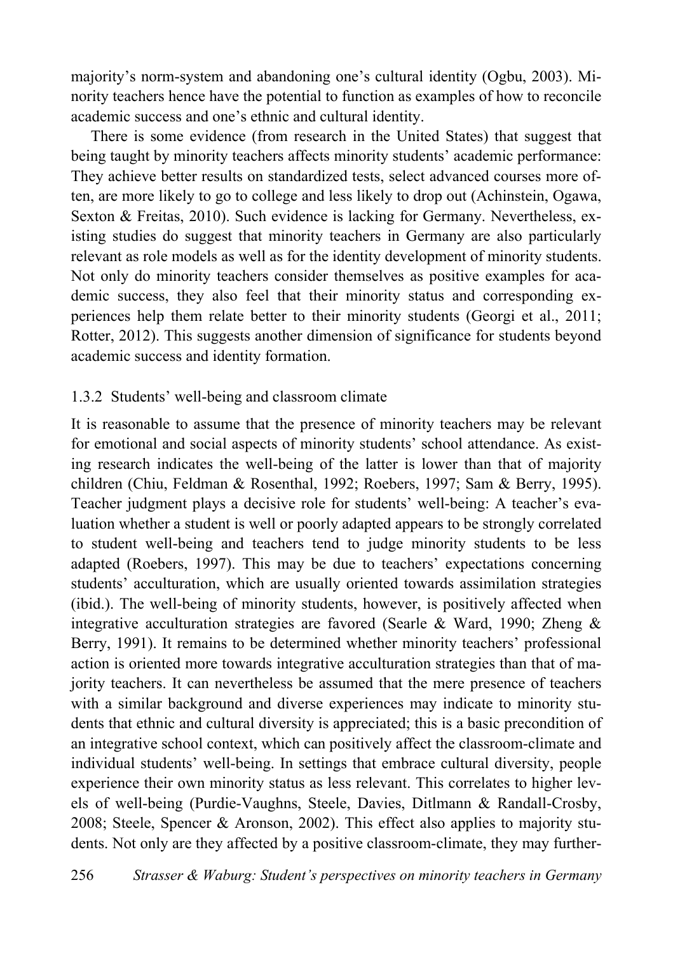majority's norm-system and abandoning one's cultural identity (Ogbu, 2003). Minority teachers hence have the potential to function as examples of how to reconcile academic success and one's ethnic and cultural identity.

There is some evidence (from research in the United States) that suggest that being taught by minority teachers affects minority students' academic performance: They achieve better results on standardized tests, select advanced courses more often, are more likely to go to college and less likely to drop out (Achinstein, Ogawa, Sexton & Freitas, 2010). Such evidence is lacking for Germany. Nevertheless, existing studies do suggest that minority teachers in Germany are also particularly relevant as role models as well as for the identity development of minority students. Not only do minority teachers consider themselves as positive examples for academic success, they also feel that their minority status and corresponding experiences help them relate better to their minority students (Georgi et al., 2011; Rotter, 2012). This suggests another dimension of significance for students beyond academic success and identity formation.

#### 1.3.2 Students' well-being and classroom climate

It is reasonable to assume that the presence of minority teachers may be relevant for emotional and social aspects of minority students' school attendance. As existing research indicates the well-being of the latter is lower than that of majority children (Chiu, Feldman & Rosenthal, 1992; Roebers, 1997; Sam & Berry, 1995). Teacher judgment plays a decisive role for students' well-being: A teacher's evaluation whether a student is well or poorly adapted appears to be strongly correlated to student well-being and teachers tend to judge minority students to be less adapted (Roebers, 1997). This may be due to teachers' expectations concerning students' acculturation, which are usually oriented towards assimilation strategies (ibid.). The well-being of minority students, however, is positively affected when integrative acculturation strategies are favored (Searle & Ward, 1990; Zheng & Berry, 1991). It remains to be determined whether minority teachers' professional action is oriented more towards integrative acculturation strategies than that of majority teachers. It can nevertheless be assumed that the mere presence of teachers with a similar background and diverse experiences may indicate to minority students that ethnic and cultural diversity is appreciated; this is a basic precondition of an integrative school context, which can positively affect the classroom-climate and individual students' well-being. In settings that embrace cultural diversity, people experience their own minority status as less relevant. This correlates to higher levels of well-being (Purdie-Vaughns, Steele, Davies, Ditlmann & Randall-Crosby, 2008; Steele, Spencer & Aronson, 2002). This effect also applies to majority students. Not only are they affected by a positive classroom-climate, they may further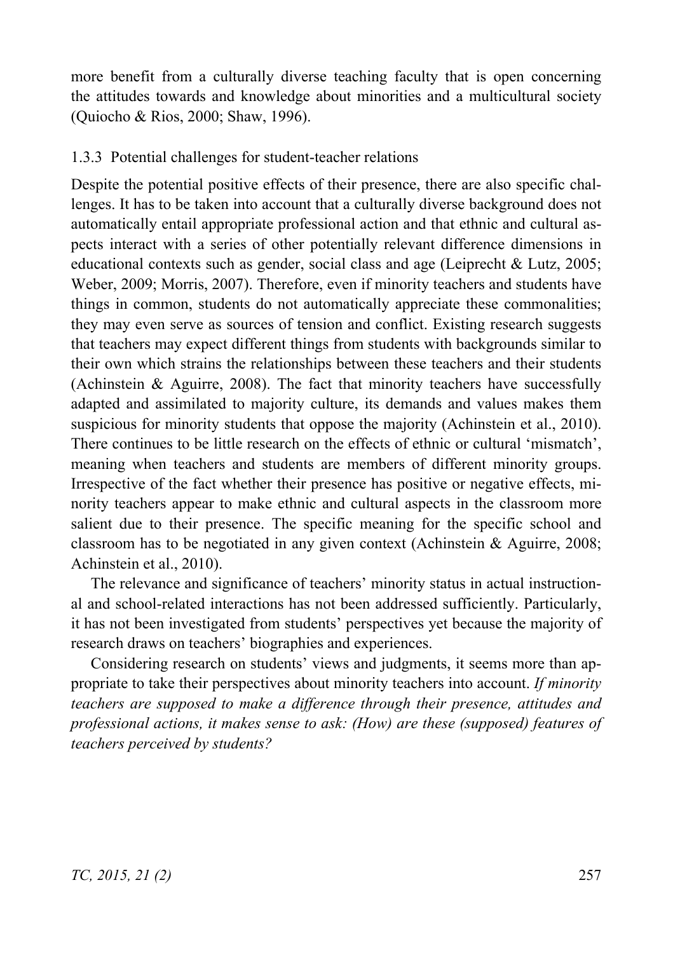more benefit from a culturally diverse teaching faculty that is open concerning the attitudes towards and knowledge about minorities and a multicultural society (Quiocho & Rios, 2000; Shaw, 1996).

#### 1.3.3 Potential challenges for student-teacher relations

Despite the potential positive effects of their presence, there are also specific challenges. It has to be taken into account that a culturally diverse background does not automatically entail appropriate professional action and that ethnic and cultural aspects interact with a series of other potentially relevant difference dimensions in educational contexts such as gender, social class and age (Leiprecht & Lutz, 2005; Weber, 2009; Morris, 2007). Therefore, even if minority teachers and students have things in common, students do not automatically appreciate these commonalities; they may even serve as sources of tension and conflict. Existing research suggests that teachers may expect different things from students with backgrounds similar to their own which strains the relationships between these teachers and their students (Achinstein  $\&$  Aguirre, 2008). The fact that minority teachers have successfully adapted and assimilated to majority culture, its demands and values makes them suspicious for minority students that oppose the majority (Achinstein et al., 2010). There continues to be little research on the effects of ethnic or cultural 'mismatch', meaning when teachers and students are members of different minority groups. Irrespective of the fact whether their presence has positive or negative effects, minority teachers appear to make ethnic and cultural aspects in the classroom more salient due to their presence. The specific meaning for the specific school and classroom has to be negotiated in any given context (Achinstein & Aguirre, 2008; Achinstein et al., 2010).

The relevance and significance of teachers' minority status in actual instructional and school-related interactions has not been addressed sufficiently. Particularly, it has not been investigated from students' perspectives yet because the majority of research draws on teachers' biographies and experiences.

Considering research on students' views and judgments, it seems more than appropriate to take their perspectives about minority teachers into account. *If minority teachers are supposed to make a difference through their presence, attitudes and professional actions, it makes sense to ask: (How) are these (supposed) features of teachers perceived by students?*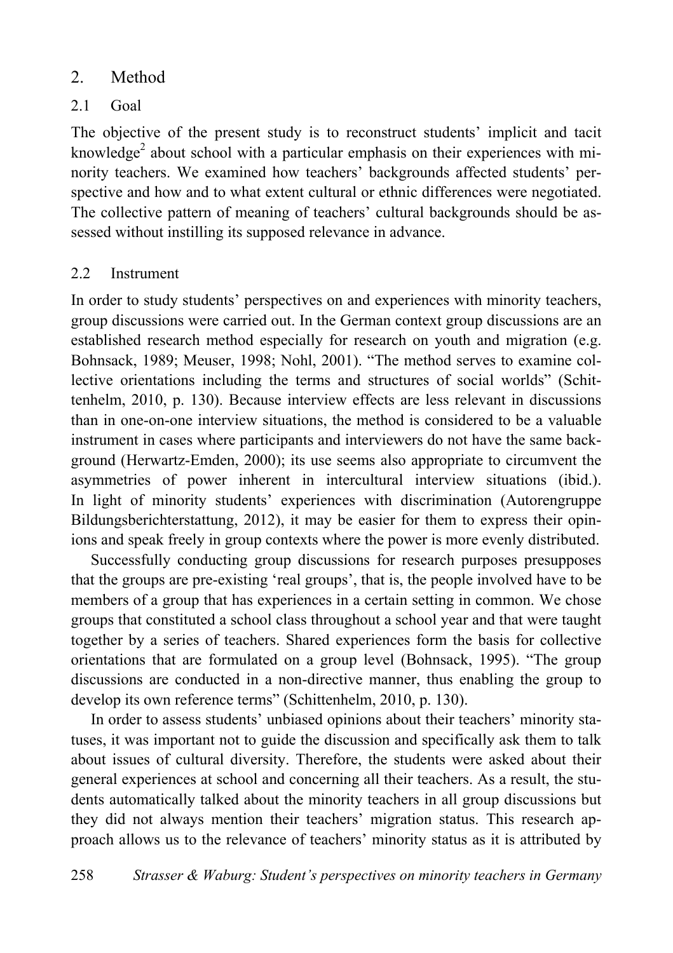# 2. Method

# 2.1 Goal

The objective of the present study is to reconstruct students' implicit and tacit knowledge<sup>2</sup> about school with a particular emphasis on their experiences with minority teachers. We examined how teachers' backgrounds affected students' perspective and how and to what extent cultural or ethnic differences were negotiated. The collective pattern of meaning of teachers' cultural backgrounds should be assessed without instilling its supposed relevance in advance.

#### 2.2 Instrument

In order to study students' perspectives on and experiences with minority teachers, group discussions were carried out. In the German context group discussions are an established research method especially for research on youth and migration (e.g. Bohnsack, 1989; Meuser, 1998; Nohl, 2001). "The method serves to examine collective orientations including the terms and structures of social worlds" (Schittenhelm, 2010, p. 130). Because interview effects are less relevant in discussions than in one-on-one interview situations, the method is considered to be a valuable instrument in cases where participants and interviewers do not have the same background (Herwartz-Emden, 2000); its use seems also appropriate to circumvent the asymmetries of power inherent in intercultural interview situations (ibid.). In light of minority students' experiences with discrimination (Autorengruppe Bildungsberichterstattung, 2012), it may be easier for them to express their opinions and speak freely in group contexts where the power is more evenly distributed.

Successfully conducting group discussions for research purposes presupposes that the groups are pre-existing 'real groups', that is, the people involved have to be members of a group that has experiences in a certain setting in common. We chose groups that constituted a school class throughout a school year and that were taught together by a series of teachers. Shared experiences form the basis for collective orientations that are formulated on a group level (Bohnsack, 1995). "The group discussions are conducted in a non-directive manner, thus enabling the group to develop its own reference terms" (Schittenhelm, 2010, p. 130).

In order to assess students' unbiased opinions about their teachers' minority statuses, it was important not to guide the discussion and specifically ask them to talk about issues of cultural diversity. Therefore, the students were asked about their general experiences at school and concerning all their teachers. As a result, the students automatically talked about the minority teachers in all group discussions but they did not always mention their teachers' migration status. This research approach allows us to the relevance of teachers' minority status as it is attributed by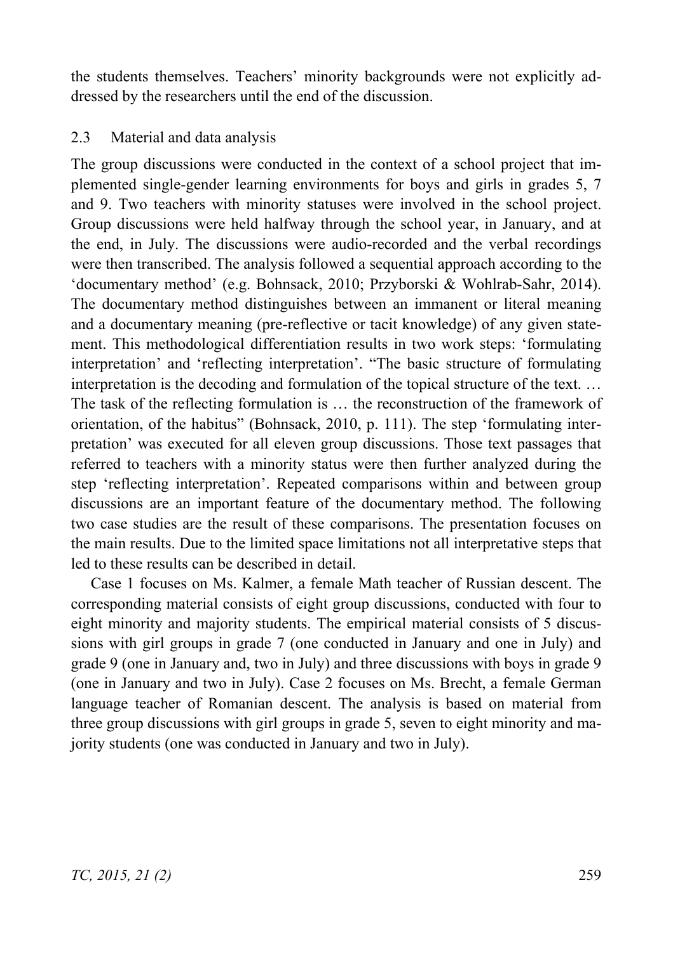the students themselves. Teachers' minority backgrounds were not explicitly addressed by the researchers until the end of the discussion.

#### 2.3 Material and data analysis

The group discussions were conducted in the context of a school project that implemented single-gender learning environments for boys and girls in grades 5, 7 and 9. Two teachers with minority statuses were involved in the school project. Group discussions were held halfway through the school year, in January, and at the end, in July. The discussions were audio-recorded and the verbal recordings were then transcribed. The analysis followed a sequential approach according to the 'documentary method' (e.g. Bohnsack, 2010; Przyborski & Wohlrab-Sahr, 2014). The documentary method distinguishes between an immanent or literal meaning and a documentary meaning (pre-reflective or tacit knowledge) of any given statement. This methodological differentiation results in two work steps: 'formulating interpretation' and 'reflecting interpretation'. "The basic structure of formulating interpretation is the decoding and formulation of the topical structure of the text. … The task of the reflecting formulation is … the reconstruction of the framework of orientation, of the habitus" (Bohnsack, 2010, p. 111). The step 'formulating interpretation' was executed for all eleven group discussions. Those text passages that referred to teachers with a minority status were then further analyzed during the step 'reflecting interpretation'. Repeated comparisons within and between group discussions are an important feature of the documentary method. The following two case studies are the result of these comparisons. The presentation focuses on the main results. Due to the limited space limitations not all interpretative steps that led to these results can be described in detail.

Case 1 focuses on Ms. Kalmer, a female Math teacher of Russian descent. The corresponding material consists of eight group discussions, conducted with four to eight minority and majority students. The empirical material consists of 5 discussions with girl groups in grade 7 (one conducted in January and one in July) and grade 9 (one in January and, two in July) and three discussions with boys in grade 9 (one in January and two in July). Case 2 focuses on Ms. Brecht, a female German language teacher of Romanian descent. The analysis is based on material from three group discussions with girl groups in grade 5, seven to eight minority and majority students (one was conducted in January and two in July).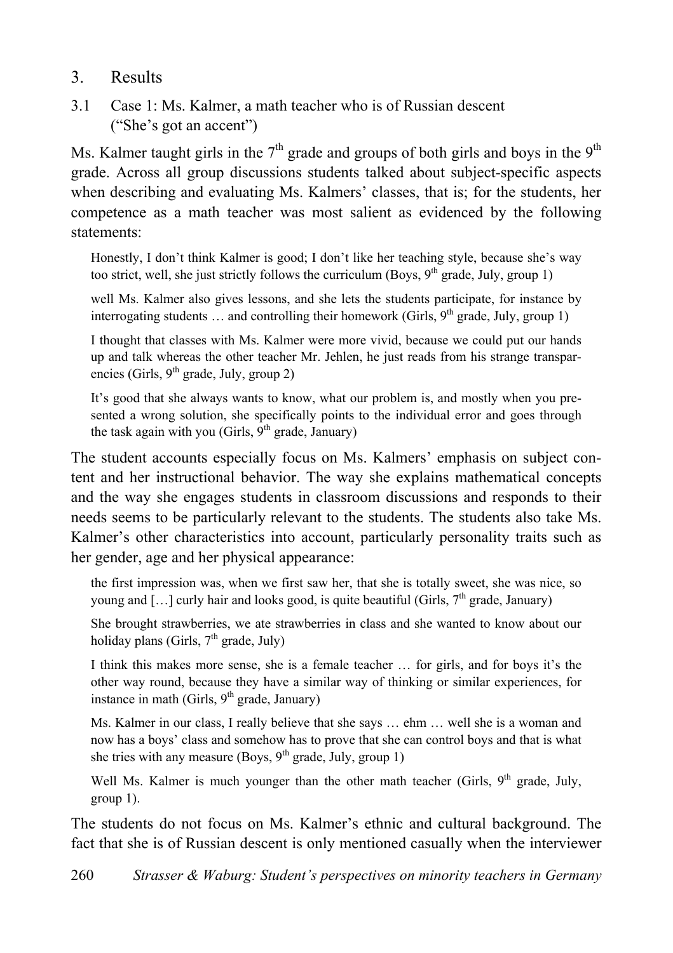# 3. Results

3.1 Case 1: Ms. Kalmer, a math teacher who is of Russian descent ("She's got an accent")

Ms. Kalmer taught girls in the  $7<sup>th</sup>$  grade and groups of both girls and boys in the 9<sup>th</sup> grade. Across all group discussions students talked about subject-specific aspects when describing and evaluating Ms. Kalmers' classes, that is; for the students, her competence as a math teacher was most salient as evidenced by the following statements:

Honestly, I don't think Kalmer is good; I don't like her teaching style, because she's way too strict, well, she just strictly follows the curriculum (Boys,  $9<sup>th</sup>$  grade, July, group 1)

well Ms. Kalmer also gives lessons, and she lets the students participate, for instance by interrogating students  $\dots$  and controlling their homework (Girls,  $9<sup>th</sup>$  grade, July, group 1)

I thought that classes with Ms. Kalmer were more vivid, because we could put our hands up and talk whereas the other teacher Mr. Jehlen, he just reads from his strange transparencies (Girls,  $9<sup>th</sup>$  grade, July, group 2)

It's good that she always wants to know, what our problem is, and mostly when you presented a wrong solution, she specifically points to the individual error and goes through the task again with you (Girls,  $9<sup>th</sup>$  grade, January)

The student accounts especially focus on Ms. Kalmers' emphasis on subject content and her instructional behavior. The way she explains mathematical concepts and the way she engages students in classroom discussions and responds to their needs seems to be particularly relevant to the students. The students also take Ms. Kalmer's other characteristics into account, particularly personality traits such as her gender, age and her physical appearance:

the first impression was, when we first saw her, that she is totally sweet, she was nice, so young and  $[\dots]$  curly hair and looks good, is quite beautiful (Girls,  $7<sup>th</sup>$  grade, January)

She brought strawberries, we ate strawberries in class and she wanted to know about our holiday plans (Girls,  $7<sup>th</sup>$  grade, July)

I think this makes more sense, she is a female teacher … for girls, and for boys it's the other way round, because they have a similar way of thinking or similar experiences, for instance in math (Girls,  $9<sup>th</sup>$  grade, January)

Ms. Kalmer in our class, I really believe that she says … ehm … well she is a woman and now has a boys' class and somehow has to prove that she can control boys and that is what she tries with any measure (Boys,  $9<sup>th</sup>$  grade, July, group 1)

Well Ms. Kalmer is much younger than the other math teacher (Girls,  $9<sup>th</sup>$  grade, July, group 1).

The students do not focus on Ms. Kalmer's ethnic and cultural background. The fact that she is of Russian descent is only mentioned casually when the interviewer

260 *Strasser & Waburg: Student's perspectives on minority teachers in Germany*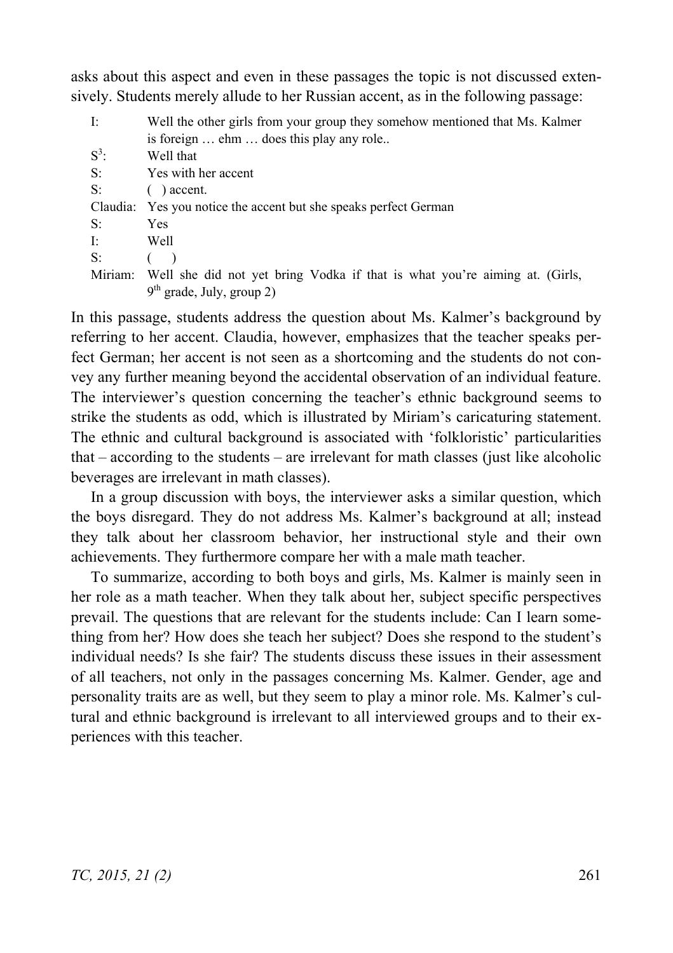asks about this aspect and even in these passages the topic is not discussed extensively. Students merely allude to her Russian accent, as in the following passage:

| -It   | Well the other girls from your group they somehow mentioned that Ms. Kalmer        |
|-------|------------------------------------------------------------------------------------|
|       | is foreign  ehm  does this play any role                                           |
| $S^3$ | Well that                                                                          |
| S:    | Yes with her accent                                                                |
| S:    | $( )$ accent.                                                                      |
|       | Claudia: Yes you notice the accent but she speaks perfect German                   |
| S:    | Yes                                                                                |
| T:    | Well                                                                               |
| S:    |                                                                                    |
|       | Miriam: Well she did not yet bring Vodka if that is what you're aiming at. (Girls, |
|       | $9th$ grade, July, group 2)                                                        |

In this passage, students address the question about Ms. Kalmer's background by referring to her accent. Claudia, however, emphasizes that the teacher speaks perfect German; her accent is not seen as a shortcoming and the students do not convey any further meaning beyond the accidental observation of an individual feature. The interviewer's question concerning the teacher's ethnic background seems to strike the students as odd, which is illustrated by Miriam's caricaturing statement. The ethnic and cultural background is associated with 'folkloristic' particularities that – according to the students – are irrelevant for math classes (just like alcoholic beverages are irrelevant in math classes).

In a group discussion with boys, the interviewer asks a similar question, which the boys disregard. They do not address Ms. Kalmer's background at all; instead they talk about her classroom behavior, her instructional style and their own achievements. They furthermore compare her with a male math teacher.

To summarize, according to both boys and girls, Ms. Kalmer is mainly seen in her role as a math teacher. When they talk about her, subject specific perspectives prevail. The questions that are relevant for the students include: Can I learn something from her? How does she teach her subject? Does she respond to the student's individual needs? Is she fair? The students discuss these issues in their assessment of all teachers, not only in the passages concerning Ms. Kalmer. Gender, age and personality traits are as well, but they seem to play a minor role. Ms. Kalmer's cultural and ethnic background is irrelevant to all interviewed groups and to their experiences with this teacher.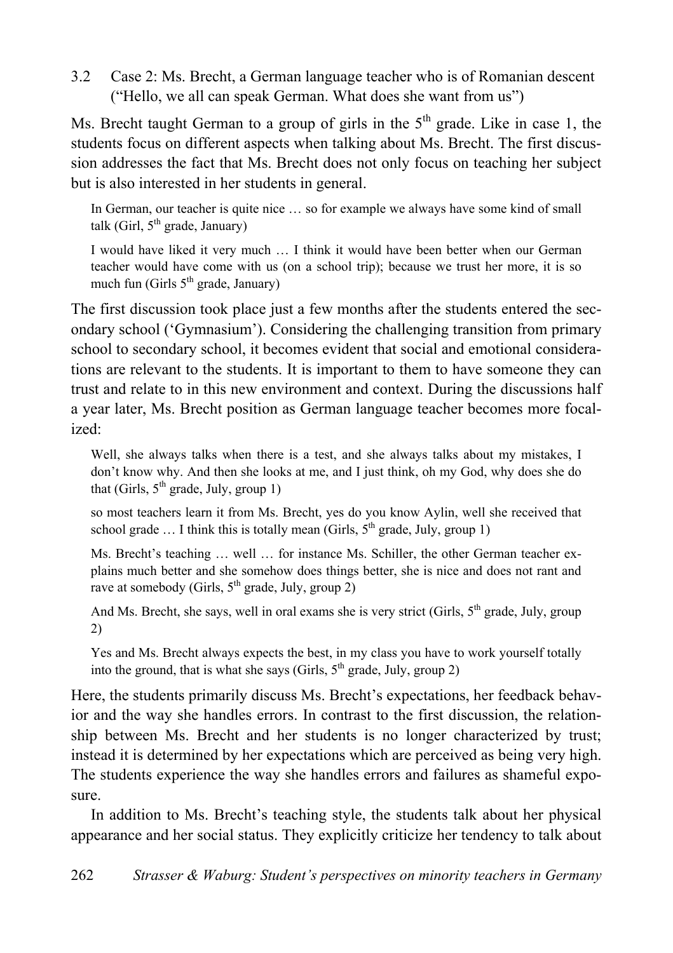3.2 Case 2: Ms. Brecht, a German language teacher who is of Romanian descent ("Hello, we all can speak German. What does she want from us")

Ms. Brecht taught German to a group of girls in the  $5<sup>th</sup>$  grade. Like in case 1, the students focus on different aspects when talking about Ms. Brecht. The first discussion addresses the fact that Ms. Brecht does not only focus on teaching her subject but is also interested in her students in general.

In German, our teacher is quite nice … so for example we always have some kind of small talk (Girl,  $5<sup>th</sup>$  grade, January)

I would have liked it very much … I think it would have been better when our German teacher would have come with us (on a school trip); because we trust her more, it is so much fun (Girls  $5<sup>th</sup>$  grade, January)

The first discussion took place just a few months after the students entered the secondary school ('Gymnasium'). Considering the challenging transition from primary school to secondary school, it becomes evident that social and emotional considerations are relevant to the students. It is important to them to have someone they can trust and relate to in this new environment and context. During the discussions half a year later, Ms. Brecht position as German language teacher becomes more focalized:

Well, she always talks when there is a test, and she always talks about my mistakes, I don't know why. And then she looks at me, and I just think, oh my God, why does she do that (Girls,  $5<sup>th</sup>$  grade, July, group 1)

so most teachers learn it from Ms. Brecht, yes do you know Aylin, well she received that school grade  $\dots$  I think this is totally mean (Girls,  $5<sup>th</sup>$  grade, July, group 1)

Ms. Brecht's teaching … well … for instance Ms. Schiller, the other German teacher explains much better and she somehow does things better, she is nice and does not rant and rave at somebody (Girls,  $5<sup>th</sup>$  grade, July, group 2)

And Ms. Brecht, she says, well in oral exams she is very strict (Girls,  $5<sup>th</sup>$  grade, July, group 2)

Yes and Ms. Brecht always expects the best, in my class you have to work yourself totally into the ground, that is what she says (Girls,  $5<sup>th</sup>$  grade, July, group 2)

Here, the students primarily discuss Ms. Brecht's expectations, her feedback behavior and the way she handles errors. In contrast to the first discussion, the relationship between Ms. Brecht and her students is no longer characterized by trust; instead it is determined by her expectations which are perceived as being very high. The students experience the way she handles errors and failures as shameful exposure.

In addition to Ms. Brecht's teaching style, the students talk about her physical appearance and her social status. They explicitly criticize her tendency to talk about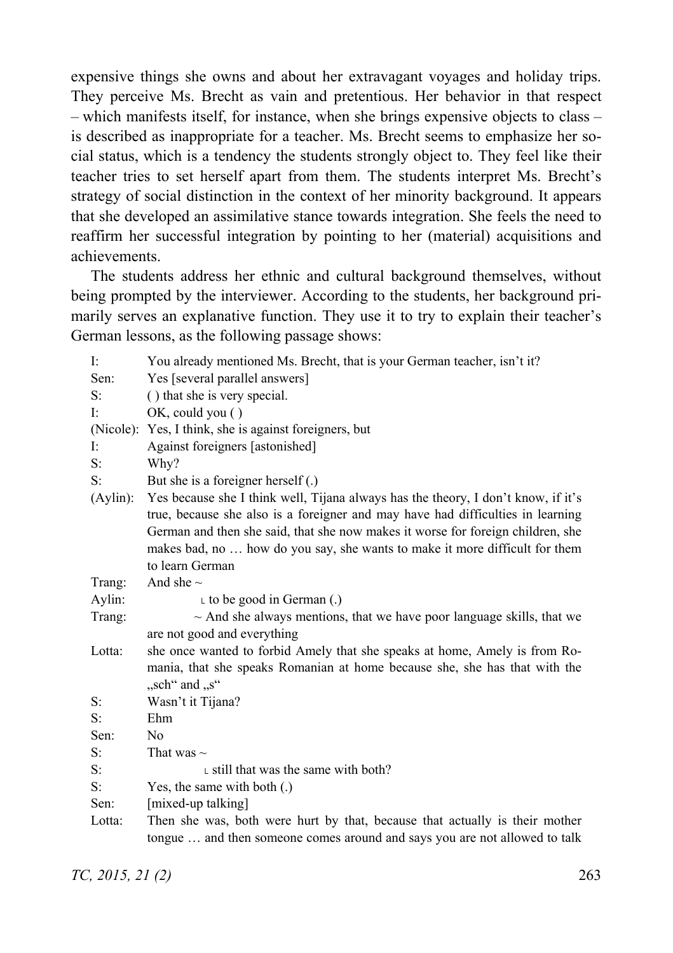expensive things she owns and about her extravagant voyages and holiday trips. They perceive Ms. Brecht as vain and pretentious. Her behavior in that respect – which manifests itself, for instance, when she brings expensive objects to class – is described as inappropriate for a teacher. Ms. Brecht seems to emphasize her social status, which is a tendency the students strongly object to. They feel like their teacher tries to set herself apart from them. The students interpret Ms. Brecht's strategy of social distinction in the context of her minority background. It appears that she developed an assimilative stance towards integration. She feels the need to reaffirm her successful integration by pointing to her (material) acquisitions and achievements.

The students address her ethnic and cultural background themselves, without being prompted by the interviewer. According to the students, her background primarily serves an explanative function. They use it to try to explain their teacher's German lessons, as the following passage shows:

| Ŀ        | You already mentioned Ms. Brecht, that is your German teacher, isn't it?                                                                                             |
|----------|----------------------------------------------------------------------------------------------------------------------------------------------------------------------|
| Sen:     | Yes [several parallel answers]                                                                                                                                       |
| S:       | () that she is very special.                                                                                                                                         |
| Ŀ        | $OK$ , could you $()$                                                                                                                                                |
|          | (Nicole): Yes, I think, she is against foreigners, but                                                                                                               |
| Ŀ        | Against foreigners [astonished]                                                                                                                                      |
| S:       | Why?                                                                                                                                                                 |
| S:       | But she is a foreigner herself $(.)$                                                                                                                                 |
| (Aylin): | Yes because she I think well, Tijana always has the theory, I don't know, if it's<br>true, because she also is a foreigner and may have had difficulties in learning |
|          | German and then she said, that she now makes it worse for foreign children, she<br>makes bad, no  how do you say, she wants to make it more difficult for them       |
|          | to learn German                                                                                                                                                      |
| Trang:   | And she $\sim$                                                                                                                                                       |
| Aylin:   | $\iota$ to be good in German (.)                                                                                                                                     |
| Trang:   | $\sim$ And she always mentions, that we have poor language skills, that we                                                                                           |
|          | are not good and everything                                                                                                                                          |
| Lotta:   | she once wanted to forbid Amely that she speaks at home, Amely is from Ro-                                                                                           |
|          | mania, that she speaks Romanian at home because she, she has that with the                                                                                           |
|          | "sch" and "s"                                                                                                                                                        |
| S:       | Wasn't it Tijana?                                                                                                                                                    |
| S:       | Ehm                                                                                                                                                                  |
| Sen:     | N <sub>0</sub>                                                                                                                                                       |
| S:       | That was $\sim$                                                                                                                                                      |
| S:       | $\mathsf{L}$ still that was the same with both?                                                                                                                      |
| $S$ :    | Yes, the same with both $(.)$                                                                                                                                        |
| Sen:     | [mixed-up talking]                                                                                                                                                   |
| Lotta:   | Then she was, both were hurt by that, because that actually is their mother                                                                                          |
|          | tongue  and then someone comes around and says you are not allowed to talk                                                                                           |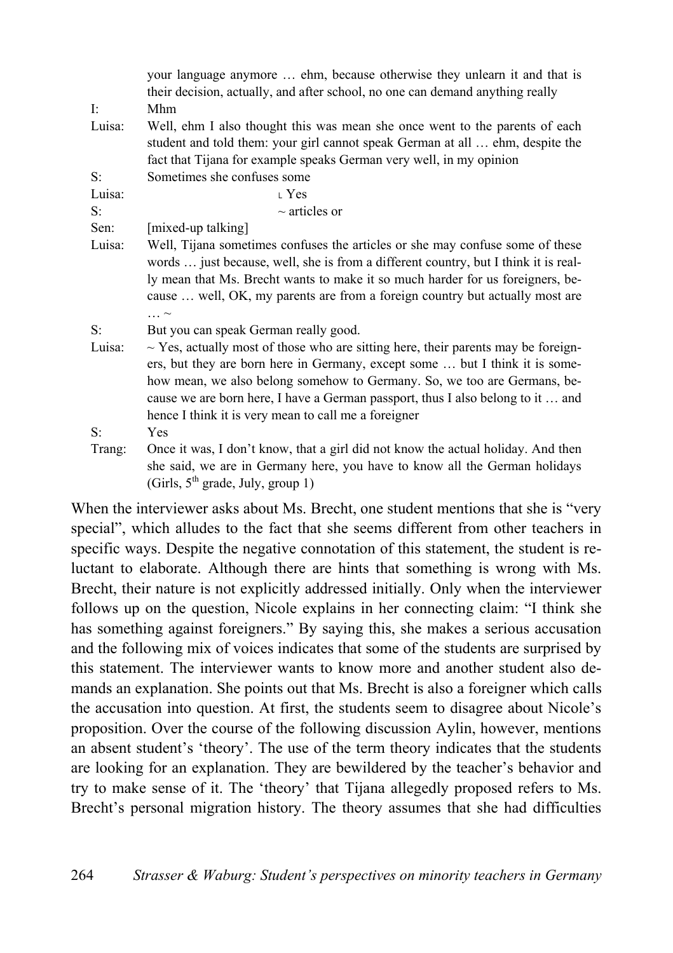|             | your language anymore  ehm, because otherwise they unlearn it and that is<br>their decision, actually, and after school, no one can demand anything really                                                                                         |
|-------------|----------------------------------------------------------------------------------------------------------------------------------------------------------------------------------------------------------------------------------------------------|
| Ŀ.          | Mhm                                                                                                                                                                                                                                                |
| Luisa:      | Well, ehm I also thought this was mean she once went to the parents of each<br>student and told them: your girl cannot speak German at all  ehm, despite the                                                                                       |
|             | fact that Tijana for example speaks German very well, in my opinion                                                                                                                                                                                |
| $S^{\cdot}$ | Sometimes she confuses some                                                                                                                                                                                                                        |
| Luisa:      | $\perp$ Yes                                                                                                                                                                                                                                        |
| $S$ :       | $\sim$ articles or                                                                                                                                                                                                                                 |
| Sen:        | [mixed-up talking]                                                                                                                                                                                                                                 |
| Luisa:      | Well, Tijana sometimes confuses the articles or she may confuse some of these                                                                                                                                                                      |
|             | words  just because, well, she is from a different country, but I think it is real-                                                                                                                                                                |
|             | ly mean that Ms. Brecht wants to make it so much harder for us foreigners, be-<br>cause  well, OK, my parents are from a foreign country but actually most are                                                                                     |
|             | $\ldots$ $\sim$                                                                                                                                                                                                                                    |
| $S$ :       | But you can speak German really good.                                                                                                                                                                                                              |
| Luisa:      | $\sim$ Yes, actually most of those who are sitting here, their parents may be foreign-<br>ers, but they are born here in Germany, except some  but I think it is some-<br>how mean, we also belong somehow to Germany. So, we too are Germans, be- |
|             | cause we are born here, I have a German passport, thus I also belong to it  and                                                                                                                                                                    |
|             | hence I think it is very mean to call me a foreigner                                                                                                                                                                                               |
| $S$ :       | Yes                                                                                                                                                                                                                                                |
| Trang:      | Once it was, I don't know, that a girl did not know the actual holiday. And then                                                                                                                                                                   |
|             | she said, we are in Germany here, you have to know all the German holidays<br>(Girls, $5th$ grade, July, group 1)                                                                                                                                  |

When the interviewer asks about Ms. Brecht, one student mentions that she is "very special", which alludes to the fact that she seems different from other teachers in specific ways. Despite the negative connotation of this statement, the student is reluctant to elaborate. Although there are hints that something is wrong with Ms. Brecht, their nature is not explicitly addressed initially. Only when the interviewer follows up on the question, Nicole explains in her connecting claim: "I think she has something against foreigners." By saying this, she makes a serious accusation and the following mix of voices indicates that some of the students are surprised by this statement. The interviewer wants to know more and another student also demands an explanation. She points out that Ms. Brecht is also a foreigner which calls the accusation into question. At first, the students seem to disagree about Nicole's proposition. Over the course of the following discussion Aylin, however, mentions an absent student's 'theory'. The use of the term theory indicates that the students are looking for an explanation. They are bewildered by the teacher's behavior and try to make sense of it. The 'theory' that Tijana allegedly proposed refers to Ms. Brecht's personal migration history. The theory assumes that she had difficulties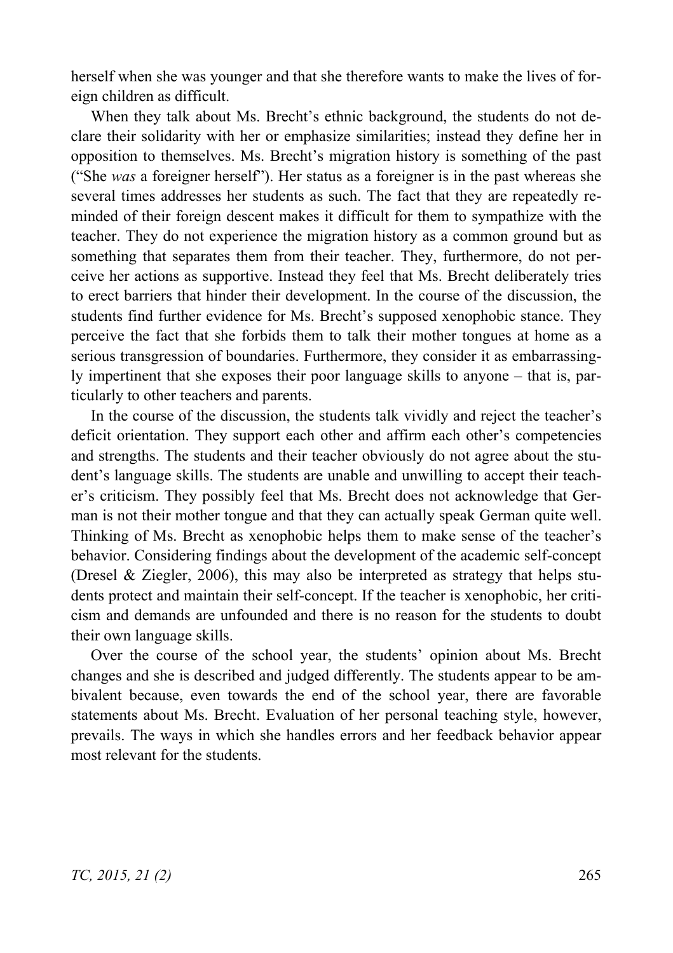herself when she was younger and that she therefore wants to make the lives of foreign children as difficult.

When they talk about Ms. Brecht's ethnic background, the students do not declare their solidarity with her or emphasize similarities; instead they define her in opposition to themselves. Ms. Brecht's migration history is something of the past ("She *was* a foreigner herself"). Her status as a foreigner is in the past whereas she several times addresses her students as such. The fact that they are repeatedly reminded of their foreign descent makes it difficult for them to sympathize with the teacher. They do not experience the migration history as a common ground but as something that separates them from their teacher. They, furthermore, do not perceive her actions as supportive. Instead they feel that Ms. Brecht deliberately tries to erect barriers that hinder their development. In the course of the discussion, the students find further evidence for Ms. Brecht's supposed xenophobic stance. They perceive the fact that she forbids them to talk their mother tongues at home as a serious transgression of boundaries. Furthermore, they consider it as embarrassingly impertinent that she exposes their poor language skills to anyone – that is, particularly to other teachers and parents.

In the course of the discussion, the students talk vividly and reject the teacher's deficit orientation. They support each other and affirm each other's competencies and strengths. The students and their teacher obviously do not agree about the student's language skills. The students are unable and unwilling to accept their teacher's criticism. They possibly feel that Ms. Brecht does not acknowledge that German is not their mother tongue and that they can actually speak German quite well. Thinking of Ms. Brecht as xenophobic helps them to make sense of the teacher's behavior. Considering findings about the development of the academic self-concept (Dresel & Ziegler, 2006), this may also be interpreted as strategy that helps students protect and maintain their self-concept. If the teacher is xenophobic, her criticism and demands are unfounded and there is no reason for the students to doubt their own language skills.

Over the course of the school year, the students' opinion about Ms. Brecht changes and she is described and judged differently. The students appear to be ambivalent because, even towards the end of the school year, there are favorable statements about Ms. Brecht. Evaluation of her personal teaching style, however, prevails. The ways in which she handles errors and her feedback behavior appear most relevant for the students.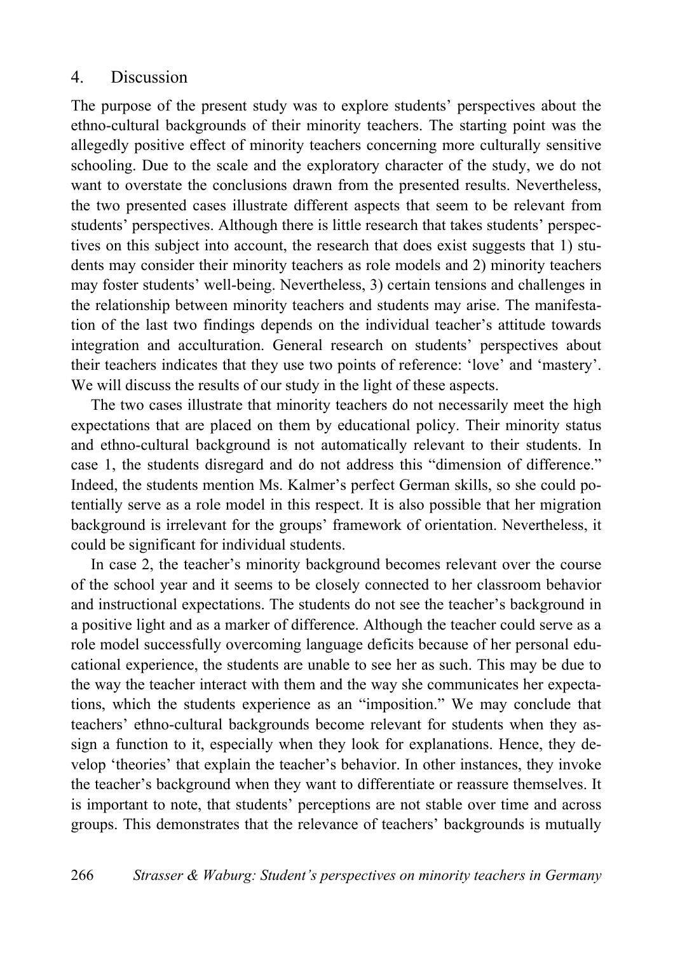#### 4. Discussion

The purpose of the present study was to explore students' perspectives about the ethno-cultural backgrounds of their minority teachers. The starting point was the allegedly positive effect of minority teachers concerning more culturally sensitive schooling. Due to the scale and the exploratory character of the study, we do not want to overstate the conclusions drawn from the presented results. Nevertheless, the two presented cases illustrate different aspects that seem to be relevant from students' perspectives. Although there is little research that takes students' perspectives on this subject into account, the research that does exist suggests that 1) students may consider their minority teachers as role models and 2) minority teachers may foster students' well-being. Nevertheless, 3) certain tensions and challenges in the relationship between minority teachers and students may arise. The manifestation of the last two findings depends on the individual teacher's attitude towards integration and acculturation. General research on students' perspectives about their teachers indicates that they use two points of reference: 'love' and 'mastery'. We will discuss the results of our study in the light of these aspects.

The two cases illustrate that minority teachers do not necessarily meet the high expectations that are placed on them by educational policy. Their minority status and ethno-cultural background is not automatically relevant to their students. In case 1, the students disregard and do not address this "dimension of difference." Indeed, the students mention Ms. Kalmer's perfect German skills, so she could potentially serve as a role model in this respect. It is also possible that her migration background is irrelevant for the groups' framework of orientation. Nevertheless, it could be significant for individual students.

In case 2, the teacher's minority background becomes relevant over the course of the school year and it seems to be closely connected to her classroom behavior and instructional expectations. The students do not see the teacher's background in a positive light and as a marker of difference. Although the teacher could serve as a role model successfully overcoming language deficits because of her personal educational experience, the students are unable to see her as such. This may be due to the way the teacher interact with them and the way she communicates her expectations, which the students experience as an "imposition." We may conclude that teachers' ethno-cultural backgrounds become relevant for students when they assign a function to it, especially when they look for explanations. Hence, they develop 'theories' that explain the teacher's behavior. In other instances, they invoke the teacher's background when they want to differentiate or reassure themselves. It is important to note, that students' perceptions are not stable over time and across groups. This demonstrates that the relevance of teachers' backgrounds is mutually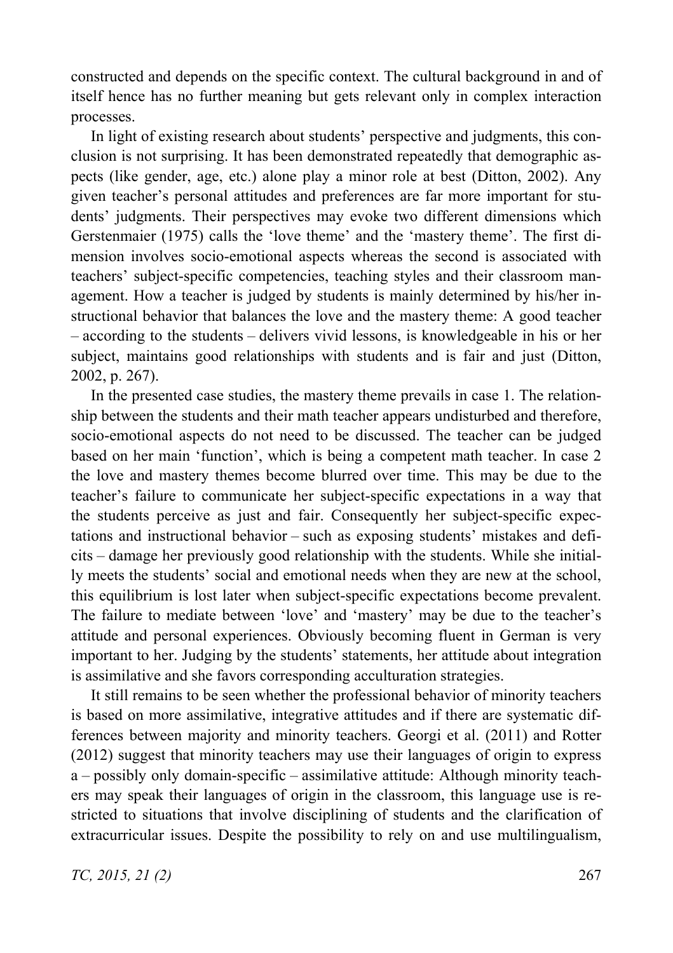constructed and depends on the specific context. The cultural background in and of itself hence has no further meaning but gets relevant only in complex interaction processes.

In light of existing research about students' perspective and judgments, this conclusion is not surprising. It has been demonstrated repeatedly that demographic aspects (like gender, age, etc.) alone play a minor role at best (Ditton, 2002). Any given teacher's personal attitudes and preferences are far more important for students' judgments. Their perspectives may evoke two different dimensions which Gerstenmaier (1975) calls the 'love theme' and the 'mastery theme'. The first dimension involves socio-emotional aspects whereas the second is associated with teachers' subject-specific competencies, teaching styles and their classroom management. How a teacher is judged by students is mainly determined by his/her instructional behavior that balances the love and the mastery theme: A good teacher – according to the students – delivers vivid lessons, is knowledgeable in his or her subject, maintains good relationships with students and is fair and just (Ditton, 2002, p. 267).

In the presented case studies, the mastery theme prevails in case 1. The relationship between the students and their math teacher appears undisturbed and therefore, socio-emotional aspects do not need to be discussed. The teacher can be judged based on her main 'function', which is being a competent math teacher. In case 2 the love and mastery themes become blurred over time. This may be due to the teacher's failure to communicate her subject-specific expectations in a way that the students perceive as just and fair. Consequently her subject-specific expectations and instructional behavior – such as exposing students' mistakes and deficits – damage her previously good relationship with the students. While she initially meets the students' social and emotional needs when they are new at the school, this equilibrium is lost later when subject-specific expectations become prevalent. The failure to mediate between 'love' and 'mastery' may be due to the teacher's attitude and personal experiences. Obviously becoming fluent in German is very important to her. Judging by the students' statements, her attitude about integration is assimilative and she favors corresponding acculturation strategies.

It still remains to be seen whether the professional behavior of minority teachers is based on more assimilative, integrative attitudes and if there are systematic differences between majority and minority teachers. Georgi et al. (2011) and Rotter (2012) suggest that minority teachers may use their languages of origin to express a – possibly only domain-specific – assimilative attitude: Although minority teachers may speak their languages of origin in the classroom, this language use is restricted to situations that involve disciplining of students and the clarification of extracurricular issues. Despite the possibility to rely on and use multilingualism,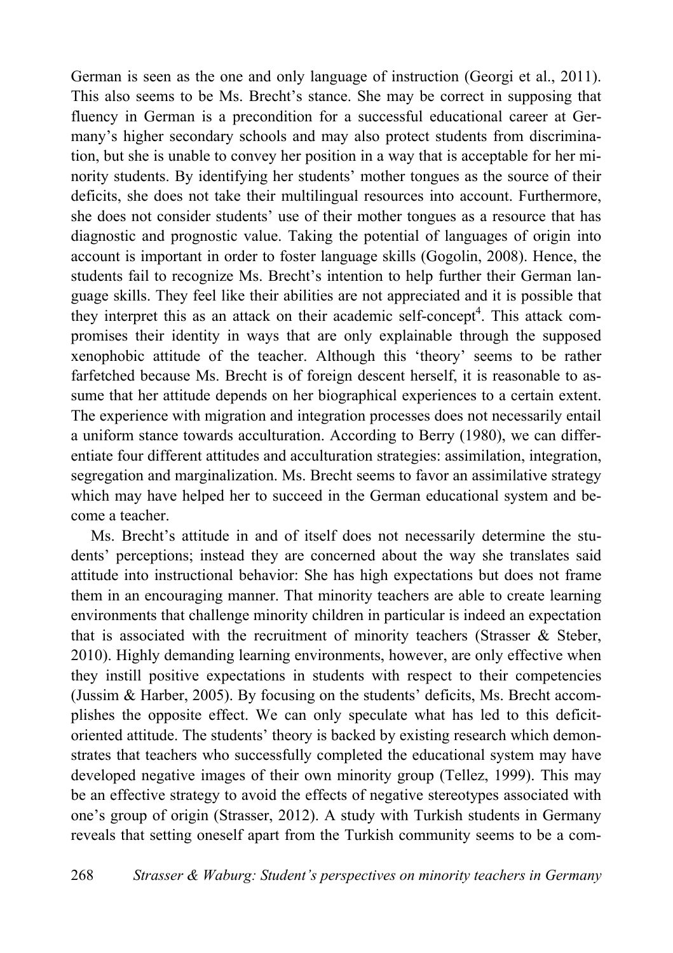German is seen as the one and only language of instruction (Georgi et al., 2011). This also seems to be Ms. Brecht's stance. She may be correct in supposing that fluency in German is a precondition for a successful educational career at Germany's higher secondary schools and may also protect students from discrimination, but she is unable to convey her position in a way that is acceptable for her minority students. By identifying her students' mother tongues as the source of their deficits, she does not take their multilingual resources into account. Furthermore, she does not consider students' use of their mother tongues as a resource that has diagnostic and prognostic value. Taking the potential of languages of origin into account is important in order to foster language skills (Gogolin, 2008). Hence, the students fail to recognize Ms. Brecht's intention to help further their German language skills. They feel like their abilities are not appreciated and it is possible that they interpret this as an attack on their academic self-concept<sup>4</sup>. This attack compromises their identity in ways that are only explainable through the supposed xenophobic attitude of the teacher. Although this 'theory' seems to be rather farfetched because Ms. Brecht is of foreign descent herself, it is reasonable to assume that her attitude depends on her biographical experiences to a certain extent. The experience with migration and integration processes does not necessarily entail a uniform stance towards acculturation. According to Berry (1980), we can differentiate four different attitudes and acculturation strategies: assimilation, integration, segregation and marginalization. Ms. Brecht seems to favor an assimilative strategy which may have helped her to succeed in the German educational system and become a teacher.

Ms. Brecht's attitude in and of itself does not necessarily determine the students' perceptions; instead they are concerned about the way she translates said attitude into instructional behavior: She has high expectations but does not frame them in an encouraging manner. That minority teachers are able to create learning environments that challenge minority children in particular is indeed an expectation that is associated with the recruitment of minority teachers (Strasser & Steber, 2010). Highly demanding learning environments, however, are only effective when they instill positive expectations in students with respect to their competencies (Jussim & Harber, 2005). By focusing on the students' deficits, Ms. Brecht accomplishes the opposite effect. We can only speculate what has led to this deficitoriented attitude. The students' theory is backed by existing research which demonstrates that teachers who successfully completed the educational system may have developed negative images of their own minority group (Tellez, 1999). This may be an effective strategy to avoid the effects of negative stereotypes associated with one's group of origin (Strasser, 2012). A study with Turkish students in Germany reveals that setting oneself apart from the Turkish community seems to be a com-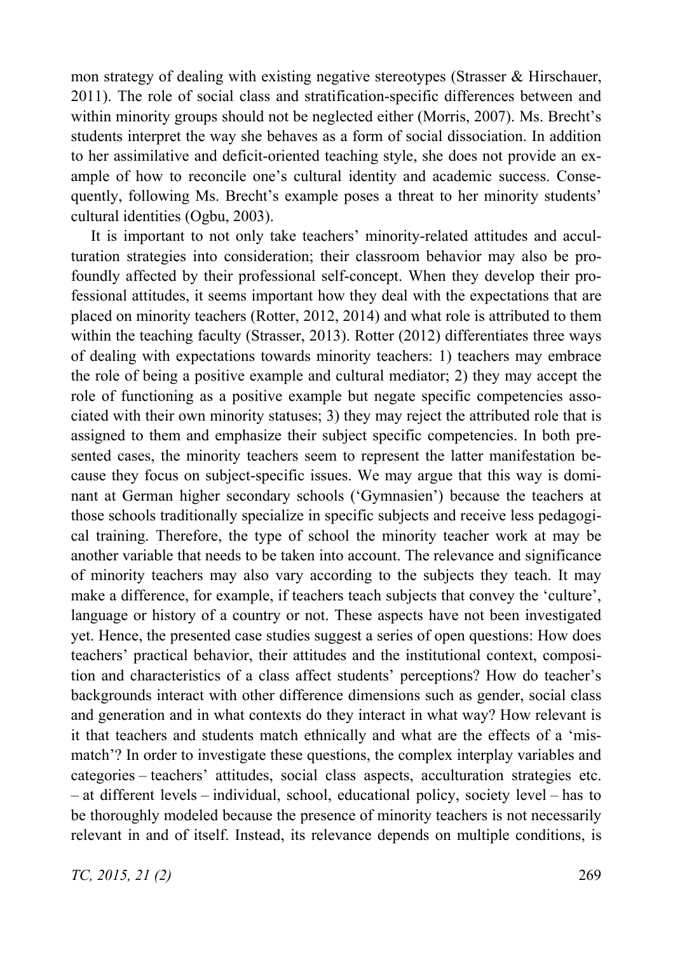mon strategy of dealing with existing negative stereotypes (Strasser & Hirschauer, 2011). The role of social class and stratification-specific differences between and within minority groups should not be neglected either (Morris, 2007). Ms. Brecht's students interpret the way she behaves as a form of social dissociation. In addition to her assimilative and deficit-oriented teaching style, she does not provide an example of how to reconcile one's cultural identity and academic success. Consequently, following Ms. Brecht's example poses a threat to her minority students' cultural identities (Ogbu, 2003).

It is important to not only take teachers' minority-related attitudes and acculturation strategies into consideration; their classroom behavior may also be profoundly affected by their professional self-concept. When they develop their professional attitudes, it seems important how they deal with the expectations that are placed on minority teachers (Rotter, 2012, 2014) and what role is attributed to them within the teaching faculty (Strasser, 2013). Rotter (2012) differentiates three ways of dealing with expectations towards minority teachers: 1) teachers may embrace the role of being a positive example and cultural mediator; 2) they may accept the role of functioning as a positive example but negate specific competencies associated with their own minority statuses; 3) they may reject the attributed role that is assigned to them and emphasize their subject specific competencies. In both presented cases, the minority teachers seem to represent the latter manifestation because they focus on subject-specific issues. We may argue that this way is dominant at German higher secondary schools ('Gymnasien') because the teachers at those schools traditionally specialize in specific subjects and receive less pedagogical training. Therefore, the type of school the minority teacher work at may be another variable that needs to be taken into account. The relevance and significance of minority teachers may also vary according to the subjects they teach. It may make a difference, for example, if teachers teach subjects that convey the 'culture', language or history of a country or not. These aspects have not been investigated yet. Hence, the presented case studies suggest a series of open questions: How does teachers' practical behavior, their attitudes and the institutional context, composition and characteristics of a class affect students' perceptions? How do teacher's backgrounds interact with other difference dimensions such as gender, social class and generation and in what contexts do they interact in what way? How relevant is it that teachers and students match ethnically and what are the effects of a 'mismatch'? In order to investigate these questions, the complex interplay variables and categories – teachers' attitudes, social class aspects, acculturation strategies etc. – at different levels – individual, school, educational policy, society level – has to be thoroughly modeled because the presence of minority teachers is not necessarily relevant in and of itself. Instead, its relevance depends on multiple conditions, is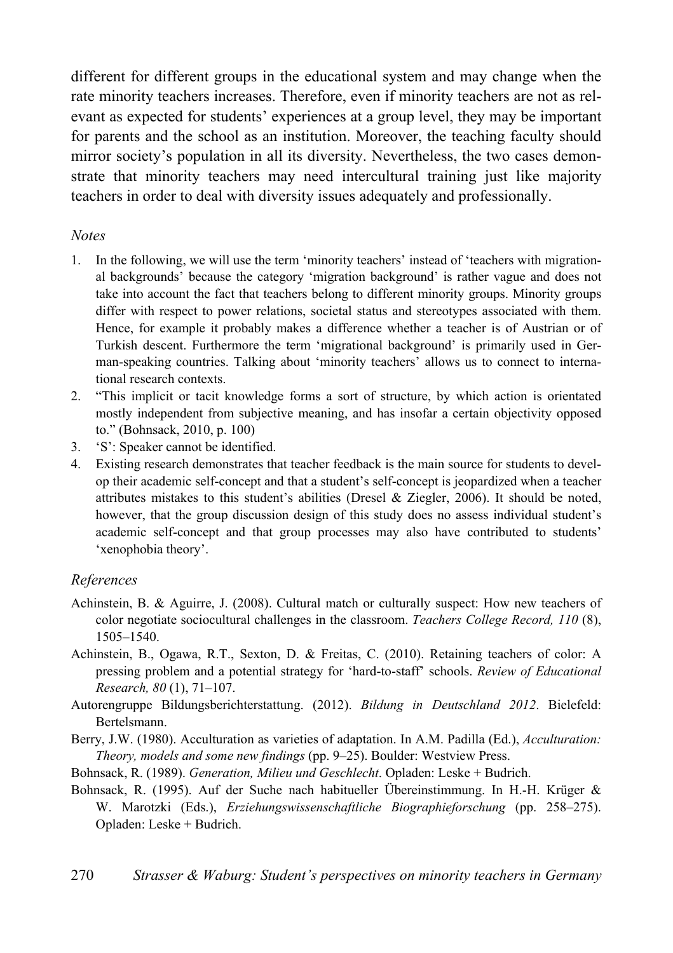different for different groups in the educational system and may change when the rate minority teachers increases. Therefore, even if minority teachers are not as relevant as expected for students' experiences at a group level, they may be important for parents and the school as an institution. Moreover, the teaching faculty should mirror society's population in all its diversity. Nevertheless, the two cases demonstrate that minority teachers may need intercultural training just like majority teachers in order to deal with diversity issues adequately and professionally.

#### *Notes*

- 1. In the following, we will use the term 'minority teachers' instead of 'teachers with migrational backgrounds' because the category 'migration background' is rather vague and does not take into account the fact that teachers belong to different minority groups. Minority groups differ with respect to power relations, societal status and stereotypes associated with them. Hence, for example it probably makes a difference whether a teacher is of Austrian or of Turkish descent. Furthermore the term 'migrational background' is primarily used in German-speaking countries. Talking about 'minority teachers' allows us to connect to international research contexts.
- 2. "This implicit or tacit knowledge forms a sort of structure, by which action is orientated mostly independent from subjective meaning, and has insofar a certain objectivity opposed to." (Bohnsack, 2010, p. 100)
- 3. 'S': Speaker cannot be identified.
- 4. Existing research demonstrates that teacher feedback is the main source for students to develop their academic self-concept and that a student's self-concept is jeopardized when a teacher attributes mistakes to this student's abilities (Dresel & Ziegler, 2006). It should be noted, however, that the group discussion design of this study does no assess individual student's academic self-concept and that group processes may also have contributed to students' 'xenophobia theory'.

#### *References*

- Achinstein, B. & Aguirre, J. (2008). Cultural match or culturally suspect: How new teachers of color negotiate sociocultural challenges in the classroom. *Teachers College Record, 110* (8), 1505–1540.
- Achinstein, B., Ogawa, R.T., Sexton, D. & Freitas, C. (2010). Retaining teachers of color: A pressing problem and a potential strategy for 'hard-to-staff' schools. *Review of Educational Research, 80* (1), 71–107.
- Autorengruppe Bildungsberichterstattung. (2012). *Bildung in Deutschland 2012*. Bielefeld: Bertelsmann.
- Berry, J.W. (1980). Acculturation as varieties of adaptation. In A.M. Padilla (Ed.), *Acculturation: Theory, models and some new findings* (pp. 9–25). Boulder: Westview Press.
- Bohnsack, R. (1989). *Generation, Milieu und Geschlecht*. Opladen: Leske + Budrich.
- Bohnsack, R. (1995). Auf der Suche nach habitueller Übereinstimmung. In H.-H. Krüger & W. Marotzki (Eds.), *Erziehungswissenschaftliche Biographieforschung* (pp. 258–275). Opladen: Leske + Budrich.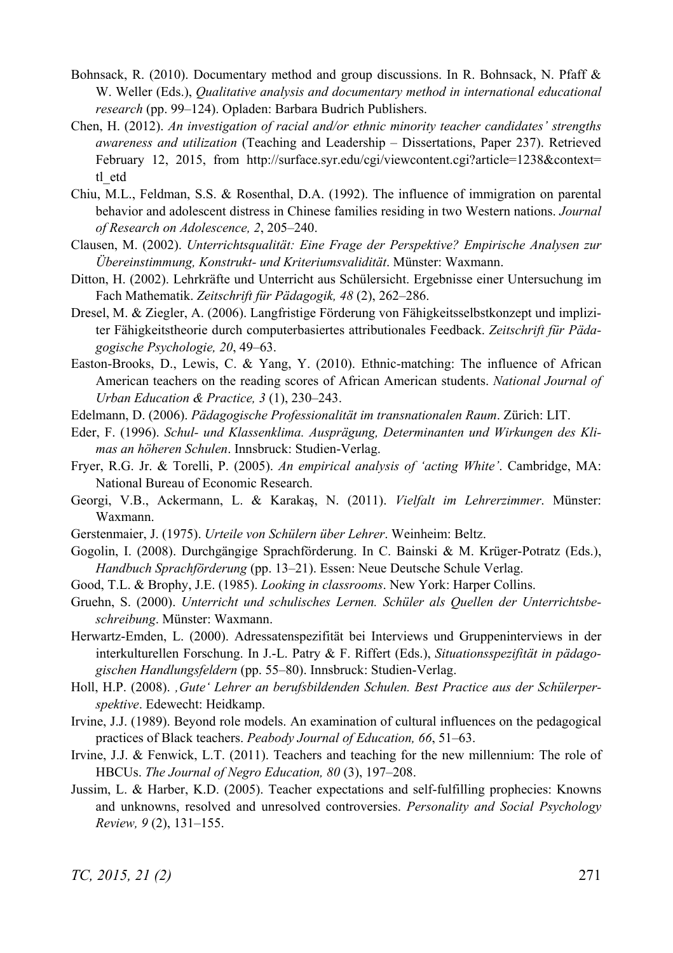- Bohnsack, R. (2010). Documentary method and group discussions. In R. Bohnsack, N. Pfaff & W. Weller (Eds.), *Qualitative analysis and documentary method in international educational research* (pp. 99–124). Opladen: Barbara Budrich Publishers.
- Chen, H. (2012). *An investigation of racial and/or ethnic minority teacher candidates' strengths awareness and utilization* (Teaching and Leadership – Dissertations, Paper 237). Retrieved February 12, 2015, from http://surface.syr.edu/cgi/viewcontent.cgi?article=1238&context= tl\_etd
- Chiu, M.L., Feldman, S.S. & Rosenthal, D.A. (1992). The influence of immigration on parental behavior and adolescent distress in Chinese families residing in two Western nations. *Journal of Research on Adolescence, 2*, 205–240.
- Clausen, M. (2002). *Unterrichtsqualität: Eine Frage der Perspektive? Empirische Analysen zur Übereinstimmung, Konstrukt- und Kriteriumsvalidität*. Münster: Waxmann.
- Ditton, H. (2002). Lehrkräfte und Unterricht aus Schülersicht. Ergebnisse einer Untersuchung im Fach Mathematik. *Zeitschrift für Pädagogik, 48* (2), 262–286.
- Dresel, M. & Ziegler, A. (2006). Langfristige Förderung von Fähigkeitsselbstkonzept und impliziter Fähigkeitstheorie durch computerbasiertes attributionales Feedback. *Zeitschrift für Pädagogische Psychologie, 20*, 49–63.
- Easton-Brooks, D., Lewis, C. & Yang, Y. (2010). Ethnic-matching: The influence of African American teachers on the reading scores of African American students. *National Journal of Urban Education & Practice, 3* (1), 230–243.
- Edelmann, D. (2006). *Pädagogische Professionalität im transnationalen Raum*. Zürich: LIT.
- Eder, F. (1996). *Schul- und Klassenklima. Ausprägung, Determinanten und Wirkungen des Klimas an höheren Schulen*. Innsbruck: Studien-Verlag.
- Fryer, R.G. Jr. & Torelli, P. (2005). *An empirical analysis of 'acting White'*. Cambridge, MA: National Bureau of Economic Research.
- Georgi, V.B., Ackermann, L. & Karakaş, N. (2011). *Vielfalt im Lehrerzimmer*. Münster: Waxmann.
- Gerstenmaier, J. (1975). *Urteile von Schülern über Lehrer*. Weinheim: Beltz.
- Gogolin, I. (2008). Durchgängige Sprachförderung. In C. Bainski & M. Krüger-Potratz (Eds.), *Handbuch Sprachförderung* (pp. 13–21). Essen: Neue Deutsche Schule Verlag.
- Good, T.L. & Brophy, J.E. (1985). *Looking in classrooms*. New York: Harper Collins.
- Gruehn, S. (2000). *Unterricht und schulisches Lernen. Schüler als Quellen der Unterrichtsbeschreibung*. Münster: Waxmann.
- Herwartz-Emden, L. (2000). Adressatenspezifität bei Interviews und Gruppeninterviews in der interkulturellen Forschung. In J.-L. Patry & F. Riffert (Eds.), *Situationsspezifität in pädagogischen Handlungsfeldern* (pp. 55–80). Innsbruck: Studien-Verlag.
- Holl, H.P. (2008). *'Gute' Lehrer an berufsbildenden Schulen. Best Practice aus der Schülerperspektive*. Edewecht: Heidkamp.
- Irvine, J.J. (1989). Beyond role models. An examination of cultural influences on the pedagogical practices of Black teachers. *Peabody Journal of Education, 66*, 51–63.
- Irvine, J.J. & Fenwick, L.T. (2011). Teachers and teaching for the new millennium: The role of HBCUs. *The Journal of Negro Education, 80* (3), 197–208.
- Jussim, L. & Harber, K.D. (2005). Teacher expectations and self-fulfilling prophecies: Knowns and unknowns, resolved and unresolved controversies. *Personality and Social Psychology Review, 9* (2), 131–155.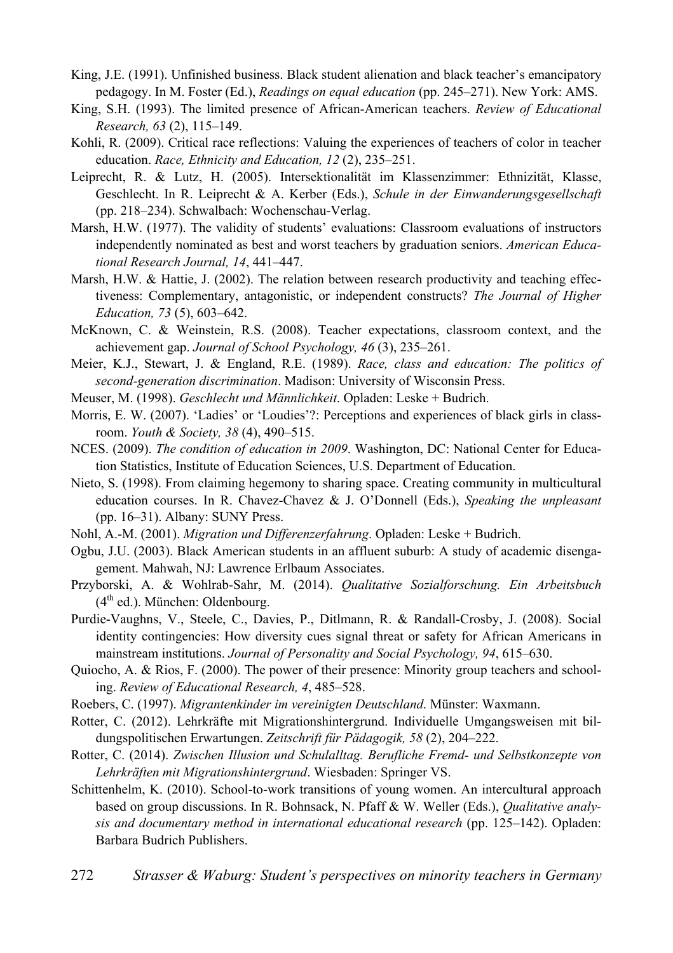- King, J.E. (1991). Unfinished business. Black student alienation and black teacher's emancipatory pedagogy. In M. Foster (Ed.), *Readings on equal education* (pp. 245–271). New York: AMS.
- King, S.H. (1993). The limited presence of African-American teachers. *Review of Educational Research, 63* (2), 115–149.
- Kohli, R. (2009). Critical race reflections: Valuing the experiences of teachers of color in teacher education. *Race, Ethnicity and Education, 12* (2), 235–251.
- Leiprecht, R. & Lutz, H. (2005). Intersektionalität im Klassenzimmer: Ethnizität, Klasse, Geschlecht. In R. Leiprecht & A. Kerber (Eds.), *Schule in der Einwanderungsgesellschaft* (pp. 218–234). Schwalbach: Wochenschau-Verlag.
- Marsh, H.W. (1977). The validity of students' evaluations: Classroom evaluations of instructors independently nominated as best and worst teachers by graduation seniors. *American Educational Research Journal, 14*, 441–447.
- Marsh, H.W. & Hattie, J. (2002). The relation between research productivity and teaching effectiveness: Complementary, antagonistic, or independent constructs? *The Journal of Higher Education, 73* (5), 603–642.
- McKnown, C. & Weinstein, R.S. (2008). Teacher expectations, classroom context, and the achievement gap. *Journal of School Psychology, 46* (3), 235–261.
- Meier, K.J., Stewart, J. & England, R.E. (1989). *Race, class and education: The politics of second-generation discrimination*. Madison: University of Wisconsin Press.
- Meuser, M. (1998). *Geschlecht und Männlichkeit*. Opladen: Leske + Budrich.
- Morris, E. W. (2007). 'Ladies' or 'Loudies'?: Perceptions and experiences of black girls in classroom. *Youth & Society, 38* (4), 490–515.
- NCES. (2009). *The condition of education in 2009*. Washington, DC: National Center for Education Statistics, Institute of Education Sciences, U.S. Department of Education.
- Nieto, S. (1998). From claiming hegemony to sharing space. Creating community in multicultural education courses. In R. Chavez-Chavez & J. O'Donnell (Eds.), *Speaking the unpleasant* (pp. 16–31). Albany: SUNY Press.
- Nohl, A.-M. (2001). *Migration und Differenzerfahrung*. Opladen: Leske + Budrich.
- Ogbu, J.U. (2003). Black American students in an affluent suburb: A study of academic disengagement. Mahwah, NJ: Lawrence Erlbaum Associates.
- Przyborski, A. & Wohlrab-Sahr, M. (2014). *Qualitative Sozialforschung. Ein Arbeitsbuch*  $(4<sup>th</sup>$  ed.). München: Oldenbourg.
- Purdie-Vaughns, V., Steele, C., Davies, P., Ditlmann, R. & Randall-Crosby, J. (2008). Social identity contingencies: How diversity cues signal threat or safety for African Americans in mainstream institutions. *Journal of Personality and Social Psychology, 94*, 615–630.
- Quiocho, A. & Rios, F. (2000). The power of their presence: Minority group teachers and schooling. *Review of Educational Research, 4*, 485–528.
- Roebers, C. (1997). *Migrantenkinder im vereinigten Deutschland*. Münster: Waxmann.
- Rotter, C. (2012). Lehrkräfte mit Migrationshintergrund. Individuelle Umgangsweisen mit bildungspolitischen Erwartungen. *Zeitschrift für Pädagogik, 58* (2), 204–222.
- Rotter, C. (2014). *Zwischen Illusion und Schulalltag. Berufliche Fremd- und Selbstkonzepte von Lehrkräften mit Migrationshintergrund*. Wiesbaden: Springer VS.
- Schittenhelm, K. (2010). School-to-work transitions of young women. An intercultural approach based on group discussions. In R. Bohnsack, N. Pfaff & W. Weller (Eds.), *Qualitative analysis and documentary method in international educational research* (pp. 125–142). Opladen: Barbara Budrich Publishers.
- 272 *Strasser & Waburg: Student's perspectives on minority teachers in Germany*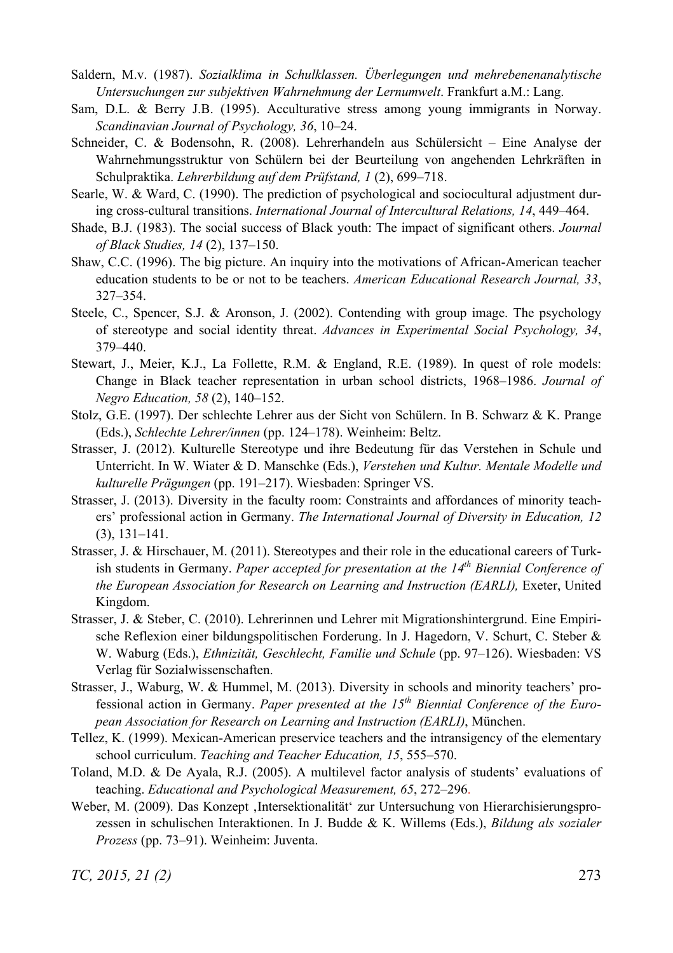- Saldern, M.v. (1987). *Sozialklima in Schulklassen. Überlegungen und mehrebenenanalytische Untersuchungen zur subjektiven Wahrnehmung der Lernumwelt*. Frankfurt a.M.: Lang.
- Sam, D.L. & Berry J.B. (1995). Acculturative stress among young immigrants in Norway. *Scandinavian Journal of Psychology, 36*, 10–24.
- Schneider, C. & Bodensohn, R. (2008). Lehrerhandeln aus Schülersicht Eine Analyse der Wahrnehmungsstruktur von Schülern bei der Beurteilung von angehenden Lehrkräften in Schulpraktika. *Lehrerbildung auf dem Prüfstand, 1* (2), 699–718.
- Searle, W. & Ward, C. (1990). The prediction of psychological and sociocultural adjustment during cross-cultural transitions. *International Journal of Intercultural Relations, 14*, 449–464.
- Shade, B.J. (1983). The social success of Black youth: The impact of significant others. *Journal of Black Studies, 14* (2), 137–150.
- Shaw, C.C. (1996). The big picture. An inquiry into the motivations of African-American teacher education students to be or not to be teachers. *American Educational Research Journal, 33*, 327–354.
- Steele, C., Spencer, S.J. & Aronson, J. (2002). Contending with group image. The psychology of stereotype and social identity threat. *Advances in Experimental Social Psychology, 34*, 379–440.
- Stewart, J., Meier, K.J., La Follette, R.M. & England, R.E. (1989). In quest of role models: Change in Black teacher representation in urban school districts, 1968–1986. *Journal of Negro Education, 58* (2), 140–152.
- Stolz, G.E. (1997). Der schlechte Lehrer aus der Sicht von Schülern. In B. Schwarz & K. Prange (Eds.), *Schlechte Lehrer/innen* (pp. 124–178). Weinheim: Beltz.
- Strasser, J. (2012). Kulturelle Stereotype und ihre Bedeutung für das Verstehen in Schule und Unterricht. In W. Wiater & D. Manschke (Eds.), *Verstehen und Kultur. Mentale Modelle und kulturelle Prägungen* (pp. 191–217). Wiesbaden: Springer VS.
- Strasser, J. (2013). Diversity in the faculty room: Constraints and affordances of minority teachers' professional action in Germany. *The International Journal of Diversity in Education, 12* (3), 131–141.
- Strasser, J. & Hirschauer, M. (2011). Stereotypes and their role in the educational careers of Turkish students in Germany. *Paper accepted for presentation at the 14th Biennial Conference of the European Association for Research on Learning and Instruction (EARLI),* Exeter, United Kingdom.
- Strasser, J. & Steber, C. (2010). Lehrerinnen und Lehrer mit Migrationshintergrund. Eine Empirische Reflexion einer bildungspolitischen Forderung. In J. Hagedorn, V. Schurt, C. Steber & W. Waburg (Eds.), *Ethnizität, Geschlecht, Familie und Schule* (pp. 97–126). Wiesbaden: VS Verlag für Sozialwissenschaften.
- Strasser, J., Waburg, W. & Hummel, M. (2013). Diversity in schools and minority teachers' professional action in Germany. Paper presented at the 15<sup>th</sup> Biennial Conference of the Euro*pean Association for Research on Learning and Instruction (EARLI)*, München.
- Tellez, K. (1999). Mexican-American preservice teachers and the intransigency of the elementary school curriculum. *Teaching and Teacher Education, 15*, 555–570.
- Toland, M.D. & De Ayala, R.J. (2005). A multilevel factor analysis of students' evaluations of teaching. *Educational and Psychological Measurement, 65*, 272–296.
- Weber, M. (2009). Das Konzept 'Intersektionalität' zur Untersuchung von Hierarchisierungsprozessen in schulischen Interaktionen. In J. Budde & K. Willems (Eds.), *Bildung als sozialer Prozess* (pp. 73–91). Weinheim: Juventa.

*TC, 2015, 21 (2)* 273